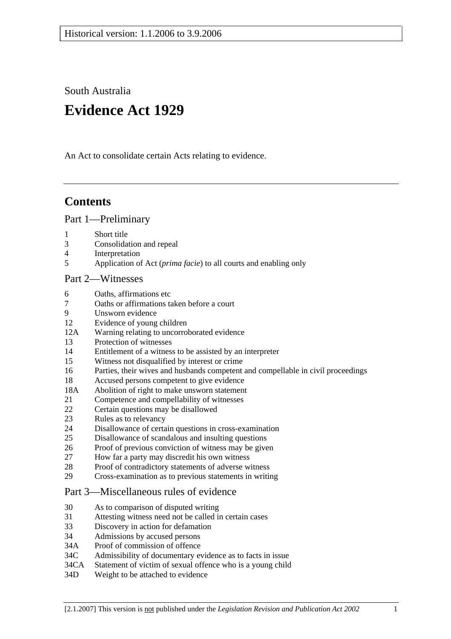South Australia

# **Evidence Act 1929**

An Act to consolidate certain Acts relating to evidence.

## **Contents**

Part 1—Preliminary

- 1 Short title
- 3 Consolidation and repeal
- 4 Interpretation
- 5 Application of Act (*prima facie*) to all courts and enabling only

## Part 2—Witnesses

- 6 Oaths, affirmations etc
- 7 Oaths or affirmations taken before a court
- 9 Unsworn evidence
- 12 Evidence of young children
- 12A Warning relating to uncorroborated evidence
- 13 Protection of witnesses
- 14 Entitlement of a witness to be assisted by an interpreter
- 15 Witness not disqualified by interest or crime
- 16 Parties, their wives and husbands competent and compellable in civil proceedings
- 18 Accused persons competent to give evidence
- 18A Abolition of right to make unsworn statement
- 21 Competence and compellability of witnesses
- 22 Certain questions may be disallowed
- 23 Rules as to relevancy
- 24 Disallowance of certain questions in cross-examination
- 25 Disallowance of scandalous and insulting questions
- 26 Proof of previous conviction of witness may be given
- 27 How far a party may discredit his own witness
- 28 Proof of contradictory statements of adverse witness
- 29 Cross-examination as to previous statements in writing

#### Part 3—Miscellaneous rules of evidence

- 30 As to comparison of disputed writing
- 31 Attesting witness need not be called in certain cases
- 33 Discovery in action for defamation
- 34 Admissions by accused persons
- 34A Proof of commission of offence
- 34C Admissibility of documentary evidence as to facts in issue
- 34CA Statement of victim of sexual offence who is a young child
- 34D Weight to be attached to evidence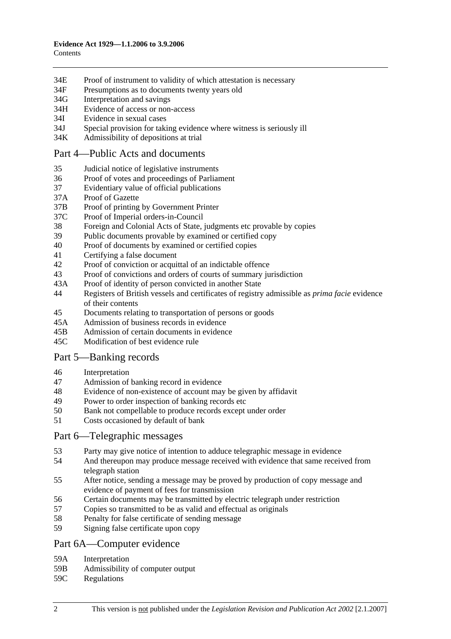- 34E Proof of instrument to validity of which attestation is necessary
- 34F Presumptions as to documents twenty years old
- 34G Interpretation and savings
- 34H Evidence of access or non-access
- 34I Evidence in sexual cases
- 34J Special provision for taking evidence where witness is seriously ill
- 34K Admissibility of depositions at trial

#### Part 4—Public Acts and documents

- 35 Judicial notice of legislative instruments
- 36 Proof of votes and proceedings of Parliament
- 37 Evidentiary value of official publications
- 37A Proof of Gazette
- 37B Proof of printing by Government Printer
- 37C Proof of Imperial orders-in-Council
- 38 Foreign and Colonial Acts of State, judgments etc provable by copies
- 39 Public documents provable by examined or certified copy
- 40 Proof of documents by examined or certified copies
- 41 Certifying a false document
- 42 Proof of conviction or acquittal of an indictable offence
- 43 Proof of convictions and orders of courts of summary jurisdiction
- 43A Proof of identity of person convicted in another State
- 44 Registers of British vessels and certificates of registry admissible as *prima facie* evidence of their contents
- 45 Documents relating to transportation of persons or goods
- 45A Admission of business records in evidence
- 45B Admission of certain documents in evidence
- 45C Modification of best evidence rule

## Part 5—Banking records

- 46 Interpretation
- 47 Admission of banking record in evidence
- 48 Evidence of non-existence of account may be given by affidavit
- 49 Power to order inspection of banking records etc
- 50 Bank not compellable to produce records except under order
- 51 Costs occasioned by default of bank

#### Part 6—Telegraphic messages

- 53 Party may give notice of intention to adduce telegraphic message in evidence
- 54 And thereupon may produce message received with evidence that same received from telegraph station
- 55 After notice, sending a message may be proved by production of copy message and evidence of payment of fees for transmission
- 56 Certain documents may be transmitted by electric telegraph under restriction
- 57 Copies so transmitted to be as valid and effectual as originals
- 58 Penalty for false certificate of sending message
- 59 Signing false certificate upon copy

#### Part 6A—Computer evidence

- 59A Interpretation
- 59B Admissibility of computer output
- 59C Regulations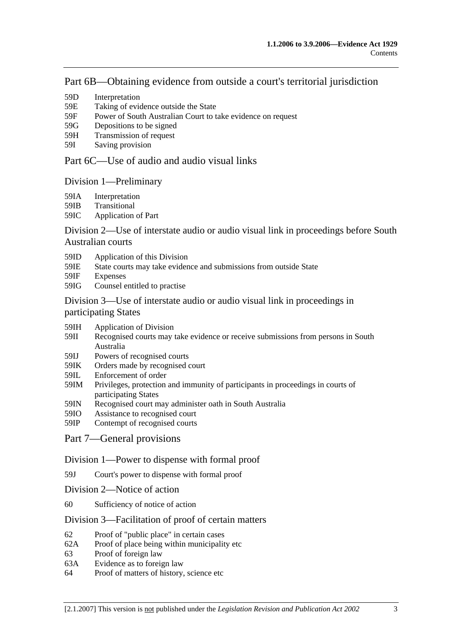## Part 6B—Obtaining evidence from outside a court's territorial jurisdiction

- 59D Interpretation
- 59E Taking of evidence outside the State
- 59F Power of South Australian Court to take evidence on request
- 59G Depositions to be signed
- 59H Transmission of request
- 59I Saving provision

Part 6C—Use of audio and audio visual links

#### Division 1—Preliminary

- 59IA Interpretation
- 59IB Transitional
- 59IC Application of Part

## Division 2—Use of interstate audio or audio visual link in proceedings before South Australian courts

- 59ID Application of this Division
- 59IE State courts may take evidence and submissions from outside State
- 59IF Expenses
- 59IG Counsel entitled to practise

## Division 3—Use of interstate audio or audio visual link in proceedings in participating States

- 59IH Application of Division
- 59II Recognised courts may take evidence or receive submissions from persons in South Australia
- 59IJ Powers of recognised courts<br>59IK Orders made by recognised
- Orders made by recognised court
- 59IL Enforcement of order
- 59IM Privileges, protection and immunity of participants in proceedings in courts of participating States
- 59IN Recognised court may administer oath in South Australia
- 59IO Assistance to recognised court
- 59IP Contempt of recognised courts
- Part 7—General provisions

#### Division 1—Power to dispense with formal proof

- 59J Court's power to dispense with formal proof
- Division 2—Notice of action
- 60 Sufficiency of notice of action

#### Division 3—Facilitation of proof of certain matters

- 62 Proof of "public place" in certain cases
- 62A Proof of place being within municipality etc
- 63 Proof of foreign law
- 63A Evidence as to foreign law
- 64 Proof of matters of history, science etc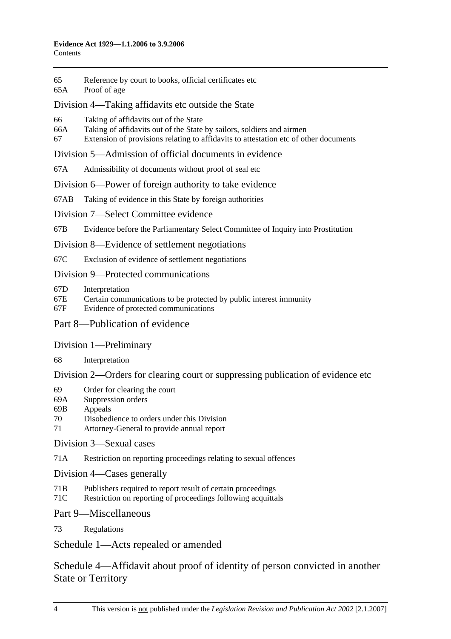- 65 Reference by court to books, official certificates etc
- 65A Proof of age

#### Division 4—Taking affidavits etc outside the State

- 66 Taking of affidavits out of the State
- 66A Taking of affidavits out of the State by sailors, soldiers and airmen
- 67 Extension of provisions relating to affidavits to attestation etc of other documents

#### Division 5—Admission of official documents in evidence

67A Admissibility of documents without proof of seal etc

#### Division 6—Power of foreign authority to take evidence

- 67AB Taking of evidence in this State by foreign authorities
- Division 7—Select Committee evidence

67B Evidence before the Parliamentary Select Committee of Inquiry into Prostitution

Division 8—Evidence of settlement negotiations

67C Exclusion of evidence of settlement negotiations

#### Division 9—Protected communications

- 67D Interpretation
- 67E Certain communications to be protected by public interest immunity
- 67F Evidence of protected communications

## Part 8—Publication of evidence

## Division 1—Preliminary

68 Interpretation

## Division 2—Orders for clearing court or suppressing publication of evidence etc

- 69 Order for clearing the court
- 69A Suppression orders
- 69B Appeals
- 70 Disobedience to orders under this Division
- 71 Attorney-General to provide annual report

#### Division 3—Sexual cases

71A Restriction on reporting proceedings relating to sexual offences

Division 4—Cases generally

- 71B Publishers required to report result of certain proceedings
- 71C Restriction on reporting of proceedings following acquittals

## Part 9—Miscellaneous

73 Regulations

Schedule 1—Acts repealed or amended

Schedule 4—Affidavit about proof of identity of person convicted in another State or Territory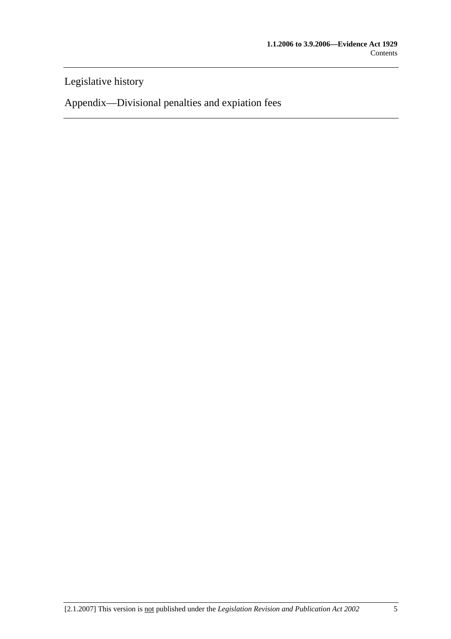Legislative history

Appendix—Divisional penalties and expiation fees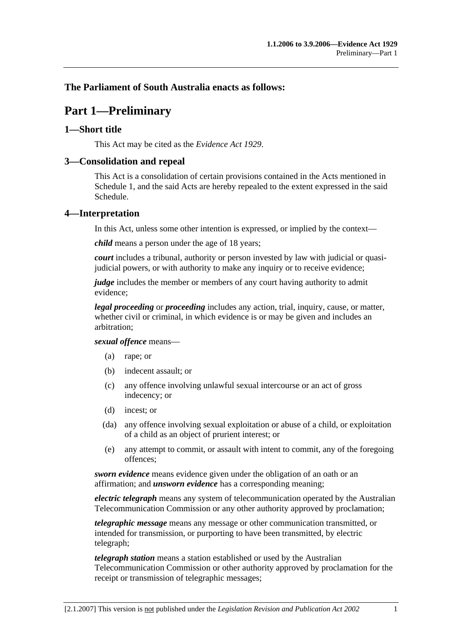## **The Parliament of South Australia enacts as follows:**

## **Part 1—Preliminary**

#### **1—Short title**

This Act may be cited as the *Evidence Act 1929*.

#### **3—Consolidation and repeal**

This Act is a consolidation of certain provisions contained in the Acts mentioned in Schedule 1, and the said Acts are hereby repealed to the extent expressed in the said Schedule.

#### **4—Interpretation**

In this Act, unless some other intention is expressed, or implied by the context—

*child* means a person under the age of 18 years;

*court* includes a tribunal, authority or person invested by law with judicial or quasijudicial powers, or with authority to make any inquiry or to receive evidence;

*judge* includes the member or members of any court having authority to admit evidence;

*legal proceeding* or *proceeding* includes any action, trial, inquiry, cause, or matter, whether civil or criminal, in which evidence is or may be given and includes an arbitration;

#### *sexual offence* means—

- (a) rape; or
- (b) indecent assault; or
- (c) any offence involving unlawful sexual intercourse or an act of gross indecency; or
- (d) incest; or
- (da) any offence involving sexual exploitation or abuse of a child, or exploitation of a child as an object of prurient interest; or
- (e) any attempt to commit, or assault with intent to commit, any of the foregoing offences;

*sworn evidence* means evidence given under the obligation of an oath or an affirmation; and *unsworn evidence* has a corresponding meaning;

*electric telegraph* means any system of telecommunication operated by the Australian Telecommunication Commission or any other authority approved by proclamation;

*telegraphic message* means any message or other communication transmitted, or intended for transmission, or purporting to have been transmitted, by electric telegraph;

*telegraph station* means a station established or used by the Australian Telecommunication Commission or other authority approved by proclamation for the receipt or transmission of telegraphic messages;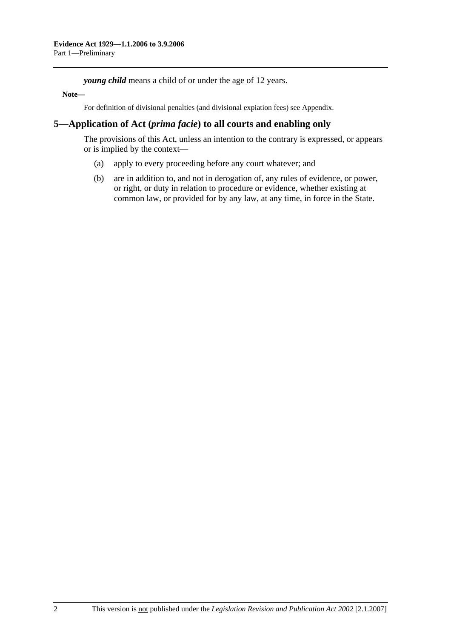*young child* means a child of or under the age of 12 years.

#### **Note—**

For definition of divisional penalties (and divisional expiation fees) see Appendix.

## **5—Application of Act (***prima facie***) to all courts and enabling only**

The provisions of this Act, unless an intention to the contrary is expressed, or appears or is implied by the context—

- (a) apply to every proceeding before any court whatever; and
- (b) are in addition to, and not in derogation of, any rules of evidence, or power, or right, or duty in relation to procedure or evidence, whether existing at common law, or provided for by any law, at any time, in force in the State.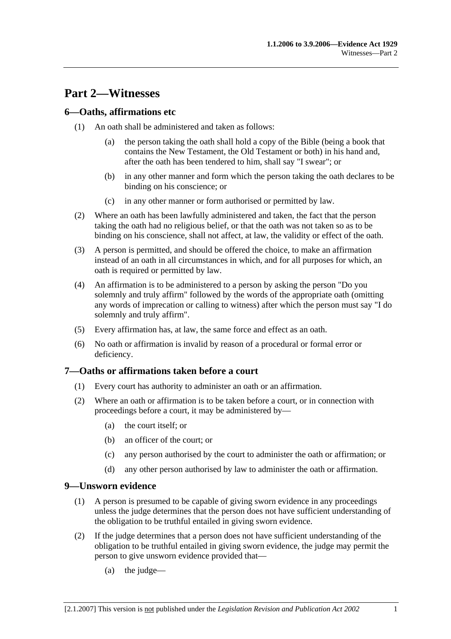## **Part 2—Witnesses**

## **6—Oaths, affirmations etc**

- (1) An oath shall be administered and taken as follows:
	- (a) the person taking the oath shall hold a copy of the Bible (being a book that contains the New Testament, the Old Testament or both) in his hand and, after the oath has been tendered to him, shall say "I swear"; or
	- (b) in any other manner and form which the person taking the oath declares to be binding on his conscience; or
	- (c) in any other manner or form authorised or permitted by law.
- (2) Where an oath has been lawfully administered and taken, the fact that the person taking the oath had no religious belief, or that the oath was not taken so as to be binding on his conscience, shall not affect, at law, the validity or effect of the oath.
- (3) A person is permitted, and should be offered the choice, to make an affirmation instead of an oath in all circumstances in which, and for all purposes for which, an oath is required or permitted by law.
- (4) An affirmation is to be administered to a person by asking the person "Do you solemnly and truly affirm" followed by the words of the appropriate oath (omitting any words of imprecation or calling to witness) after which the person must say "I do solemnly and truly affirm".
- (5) Every affirmation has, at law, the same force and effect as an oath.
- (6) No oath or affirmation is invalid by reason of a procedural or formal error or deficiency.

#### **7—Oaths or affirmations taken before a court**

- (1) Every court has authority to administer an oath or an affirmation.
- (2) Where an oath or affirmation is to be taken before a court, or in connection with proceedings before a court, it may be administered by—
	- (a) the court itself; or
	- (b) an officer of the court; or
	- (c) any person authorised by the court to administer the oath or affirmation; or
	- (d) any other person authorised by law to administer the oath or affirmation.

#### **9—Unsworn evidence**

- (1) A person is presumed to be capable of giving sworn evidence in any proceedings unless the judge determines that the person does not have sufficient understanding of the obligation to be truthful entailed in giving sworn evidence.
- (2) If the judge determines that a person does not have sufficient understanding of the obligation to be truthful entailed in giving sworn evidence, the judge may permit the person to give unsworn evidence provided that—
	- (a) the judge—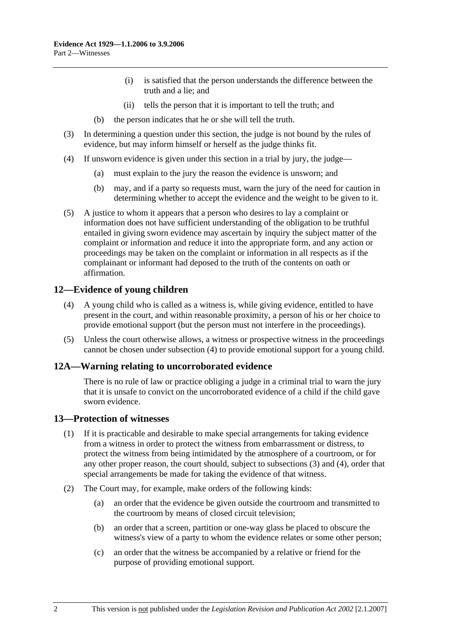- (i) is satisfied that the person understands the difference between the truth and a lie; and
- (ii) tells the person that it is important to tell the truth; and
- (b) the person indicates that he or she will tell the truth.
- (3) In determining a question under this section, the judge is not bound by the rules of evidence, but may inform himself or herself as the judge thinks fit.
- (4) If unsworn evidence is given under this section in a trial by jury, the judge—
	- (a) must explain to the jury the reason the evidence is unsworn; and
	- (b) may, and if a party so requests must, warn the jury of the need for caution in determining whether to accept the evidence and the weight to be given to it.
- (5) A justice to whom it appears that a person who desires to lay a complaint or information does not have sufficient understanding of the obligation to be truthful entailed in giving sworn evidence may ascertain by inquiry the subject matter of the complaint or information and reduce it into the appropriate form, and any action or proceedings may be taken on the complaint or information in all respects as if the complainant or informant had deposed to the truth of the contents on oath or affirmation.

## **12—Evidence of young children**

- (4) A young child who is called as a witness is, while giving evidence, entitled to have present in the court, and within reasonable proximity, a person of his or her choice to provide emotional support (but the person must not interfere in the proceedings).
- (5) Unless the court otherwise allows, a witness or prospective witness in the proceedings cannot be chosen under subsection (4) to provide emotional support for a young child.

## **12A—Warning relating to uncorroborated evidence**

There is no rule of law or practice obliging a judge in a criminal trial to warn the jury that it is unsafe to convict on the uncorroborated evidence of a child if the child gave sworn evidence.

#### **13—Protection of witnesses**

- (1) If it is practicable and desirable to make special arrangements for taking evidence from a witness in order to protect the witness from embarrassment or distress, to protect the witness from being intimidated by the atmosphere of a courtroom, or for any other proper reason, the court should, subject to subsections (3) and (4), order that special arrangements be made for taking the evidence of that witness.
- (2) The Court may, for example, make orders of the following kinds:
	- (a) an order that the evidence be given outside the courtroom and transmitted to the courtroom by means of closed circuit television;
	- (b) an order that a screen, partition or one-way glass be placed to obscure the witness's view of a party to whom the evidence relates or some other person;
	- (c) an order that the witness be accompanied by a relative or friend for the purpose of providing emotional support.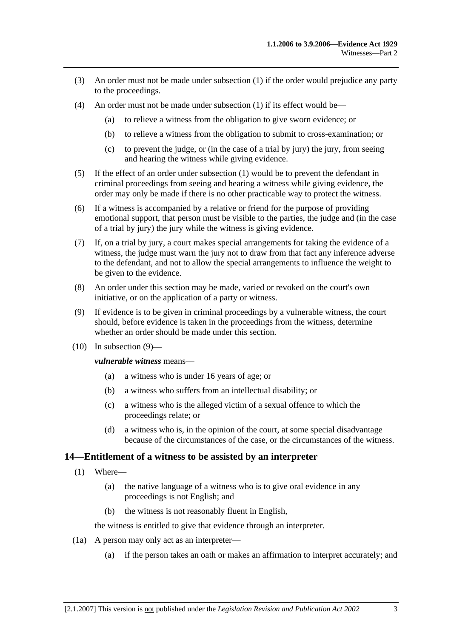- (3) An order must not be made under subsection (1) if the order would prejudice any party to the proceedings.
- (4) An order must not be made under subsection (1) if its effect would be—
	- (a) to relieve a witness from the obligation to give sworn evidence; or
	- (b) to relieve a witness from the obligation to submit to cross-examination; or
	- (c) to prevent the judge, or (in the case of a trial by jury) the jury, from seeing and hearing the witness while giving evidence.
- (5) If the effect of an order under subsection (1) would be to prevent the defendant in criminal proceedings from seeing and hearing a witness while giving evidence, the order may only be made if there is no other practicable way to protect the witness.
- (6) If a witness is accompanied by a relative or friend for the purpose of providing emotional support, that person must be visible to the parties, the judge and (in the case of a trial by jury) the jury while the witness is giving evidence.
- (7) If, on a trial by jury, a court makes special arrangements for taking the evidence of a witness, the judge must warn the jury not to draw from that fact any inference adverse to the defendant, and not to allow the special arrangements to influence the weight to be given to the evidence.
- (8) An order under this section may be made, varied or revoked on the court's own initiative, or on the application of a party or witness.
- (9) If evidence is to be given in criminal proceedings by a vulnerable witness, the court should, before evidence is taken in the proceedings from the witness, determine whether an order should be made under this section.
- $(10)$  In subsection  $(9)$ —

*vulnerable witness* means—

- (a) a witness who is under 16 years of age; or
- (b) a witness who suffers from an intellectual disability; or
- (c) a witness who is the alleged victim of a sexual offence to which the proceedings relate; or
- (d) a witness who is, in the opinion of the court, at some special disadvantage because of the circumstances of the case, or the circumstances of the witness.

#### **14—Entitlement of a witness to be assisted by an interpreter**

- (1) Where—
	- (a) the native language of a witness who is to give oral evidence in any proceedings is not English; and
	- (b) the witness is not reasonably fluent in English,

the witness is entitled to give that evidence through an interpreter.

- (1a) A person may only act as an interpreter—
	- (a) if the person takes an oath or makes an affirmation to interpret accurately; and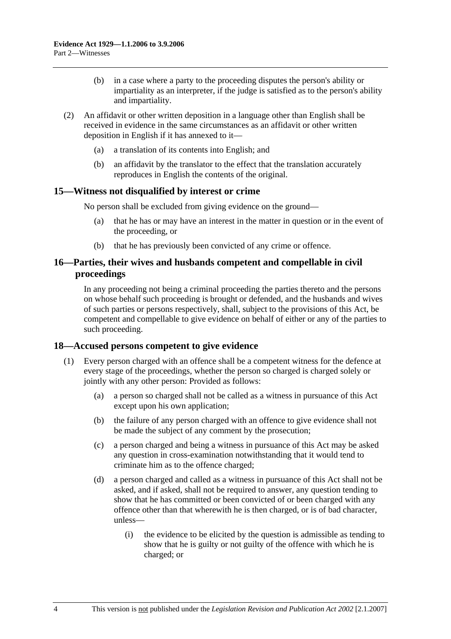- (b) in a case where a party to the proceeding disputes the person's ability or impartiality as an interpreter, if the judge is satisfied as to the person's ability and impartiality.
- (2) An affidavit or other written deposition in a language other than English shall be received in evidence in the same circumstances as an affidavit or other written deposition in English if it has annexed to it—
	- (a) a translation of its contents into English; and
	- (b) an affidavit by the translator to the effect that the translation accurately reproduces in English the contents of the original.

#### **15—Witness not disqualified by interest or crime**

No person shall be excluded from giving evidence on the ground—

- (a) that he has or may have an interest in the matter in question or in the event of the proceeding, or
- (b) that he has previously been convicted of any crime or offence.

## **16—Parties, their wives and husbands competent and compellable in civil proceedings**

In any proceeding not being a criminal proceeding the parties thereto and the persons on whose behalf such proceeding is brought or defended, and the husbands and wives of such parties or persons respectively, shall, subject to the provisions of this Act, be competent and compellable to give evidence on behalf of either or any of the parties to such proceeding.

#### **18—Accused persons competent to give evidence**

- (1) Every person charged with an offence shall be a competent witness for the defence at every stage of the proceedings, whether the person so charged is charged solely or jointly with any other person: Provided as follows:
	- (a) a person so charged shall not be called as a witness in pursuance of this Act except upon his own application;
	- (b) the failure of any person charged with an offence to give evidence shall not be made the subject of any comment by the prosecution;
	- (c) a person charged and being a witness in pursuance of this Act may be asked any question in cross-examination notwithstanding that it would tend to criminate him as to the offence charged;
	- (d) a person charged and called as a witness in pursuance of this Act shall not be asked, and if asked, shall not be required to answer, any question tending to show that he has committed or been convicted of or been charged with any offence other than that wherewith he is then charged, or is of bad character, unless—
		- (i) the evidence to be elicited by the question is admissible as tending to show that he is guilty or not guilty of the offence with which he is charged; or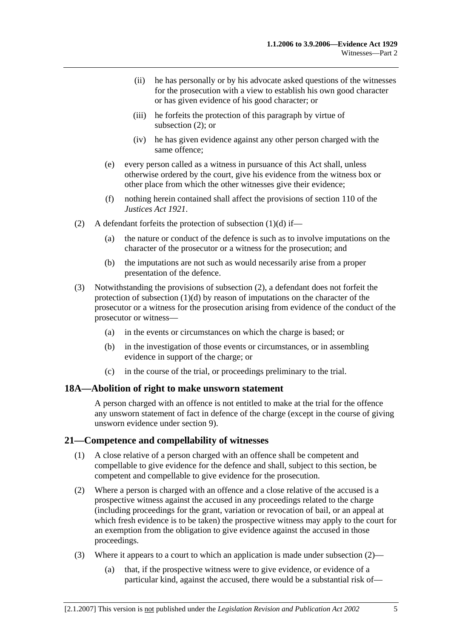- (ii) he has personally or by his advocate asked questions of the witnesses for the prosecution with a view to establish his own good character or has given evidence of his good character; or
- (iii) he forfeits the protection of this paragraph by virtue of subsection (2); or
- (iv) he has given evidence against any other person charged with the same offence;
- (e) every person called as a witness in pursuance of this Act shall, unless otherwise ordered by the court, give his evidence from the witness box or other place from which the other witnesses give their evidence;
- (f) nothing herein contained shall affect the provisions of section 110 of the *Justices Act 1921*.
- (2) A defendant forfeits the protection of subsection  $(1)(d)$  if—
	- (a) the nature or conduct of the defence is such as to involve imputations on the character of the prosecutor or a witness for the prosecution; and
	- (b) the imputations are not such as would necessarily arise from a proper presentation of the defence.
- (3) Notwithstanding the provisions of subsection (2), a defendant does not forfeit the protection of subsection  $(1)(d)$  by reason of imputations on the character of the prosecutor or a witness for the prosecution arising from evidence of the conduct of the prosecutor or witness—
	- (a) in the events or circumstances on which the charge is based; or
	- (b) in the investigation of those events or circumstances, or in assembling evidence in support of the charge; or
	- (c) in the course of the trial, or proceedings preliminary to the trial.

#### **18A—Abolition of right to make unsworn statement**

A person charged with an offence is not entitled to make at the trial for the offence any unsworn statement of fact in defence of the charge (except in the course of giving unsworn evidence under section 9).

#### **21—Competence and compellability of witnesses**

- (1) A close relative of a person charged with an offence shall be competent and compellable to give evidence for the defence and shall, subject to this section, be competent and compellable to give evidence for the prosecution.
- (2) Where a person is charged with an offence and a close relative of the accused is a prospective witness against the accused in any proceedings related to the charge (including proceedings for the grant, variation or revocation of bail, or an appeal at which fresh evidence is to be taken) the prospective witness may apply to the court for an exemption from the obligation to give evidence against the accused in those proceedings.
- (3) Where it appears to a court to which an application is made under subsection (2)—
	- (a) that, if the prospective witness were to give evidence, or evidence of a particular kind, against the accused, there would be a substantial risk of—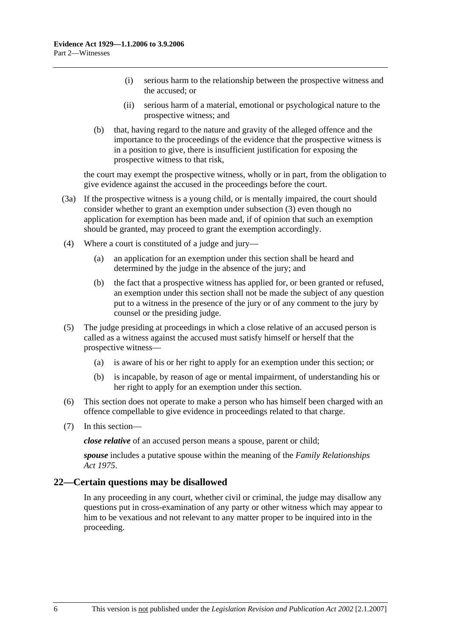- (i) serious harm to the relationship between the prospective witness and the accused; or
- (ii) serious harm of a material, emotional or psychological nature to the prospective witness; and
- (b) that, having regard to the nature and gravity of the alleged offence and the importance to the proceedings of the evidence that the prospective witness is in a position to give, there is insufficient justification for exposing the prospective witness to that risk,

the court may exempt the prospective witness, wholly or in part, from the obligation to give evidence against the accused in the proceedings before the court.

- (3a) If the prospective witness is a young child, or is mentally impaired, the court should consider whether to grant an exemption under subsection (3) even though no application for exemption has been made and, if of opinion that such an exemption should be granted, may proceed to grant the exemption accordingly.
- (4) Where a court is constituted of a judge and jury—
	- (a) an application for an exemption under this section shall be heard and determined by the judge in the absence of the jury; and
	- (b) the fact that a prospective witness has applied for, or been granted or refused, an exemption under this section shall not be made the subject of any question put to a witness in the presence of the jury or of any comment to the jury by counsel or the presiding judge.
- (5) The judge presiding at proceedings in which a close relative of an accused person is called as a witness against the accused must satisfy himself or herself that the prospective witness—
	- (a) is aware of his or her right to apply for an exemption under this section; or
	- (b) is incapable, by reason of age or mental impairment, of understanding his or her right to apply for an exemption under this section.
- (6) This section does not operate to make a person who has himself been charged with an offence compellable to give evidence in proceedings related to that charge.
- (7) In this section—

*close relative* of an accused person means a spouse, parent or child;

*spouse* includes a putative spouse within the meaning of the *Family Relationships Act 1975*.

#### **22—Certain questions may be disallowed**

In any proceeding in any court, whether civil or criminal, the judge may disallow any questions put in cross-examination of any party or other witness which may appear to him to be vexatious and not relevant to any matter proper to be inquired into in the proceeding.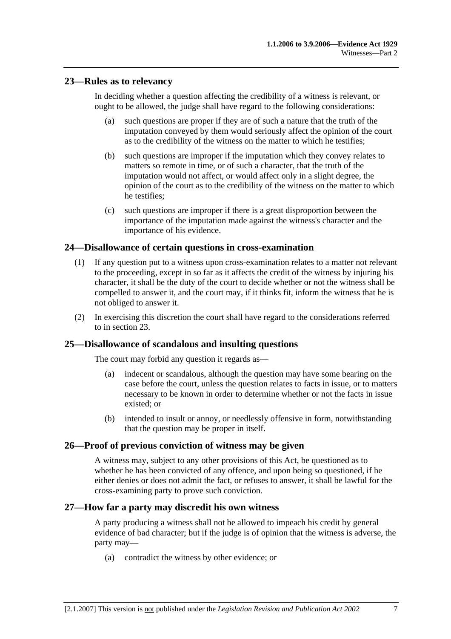## **23—Rules as to relevancy**

In deciding whether a question affecting the credibility of a witness is relevant, or ought to be allowed, the judge shall have regard to the following considerations:

- (a) such questions are proper if they are of such a nature that the truth of the imputation conveyed by them would seriously affect the opinion of the court as to the credibility of the witness on the matter to which he testifies;
- (b) such questions are improper if the imputation which they convey relates to matters so remote in time, or of such a character, that the truth of the imputation would not affect, or would affect only in a slight degree, the opinion of the court as to the credibility of the witness on the matter to which he testifies;
- (c) such questions are improper if there is a great disproportion between the importance of the imputation made against the witness's character and the importance of his evidence.

#### **24—Disallowance of certain questions in cross-examination**

- (1) If any question put to a witness upon cross-examination relates to a matter not relevant to the proceeding, except in so far as it affects the credit of the witness by injuring his character, it shall be the duty of the court to decide whether or not the witness shall be compelled to answer it, and the court may, if it thinks fit, inform the witness that he is not obliged to answer it.
- (2) In exercising this discretion the court shall have regard to the considerations referred to in section 23.

#### **25—Disallowance of scandalous and insulting questions**

The court may forbid any question it regards as—

- (a) indecent or scandalous, although the question may have some bearing on the case before the court, unless the question relates to facts in issue, or to matters necessary to be known in order to determine whether or not the facts in issue existed; or
- (b) intended to insult or annoy, or needlessly offensive in form, notwithstanding that the question may be proper in itself.

#### **26—Proof of previous conviction of witness may be given**

A witness may, subject to any other provisions of this Act, be questioned as to whether he has been convicted of any offence, and upon being so questioned, if he either denies or does not admit the fact, or refuses to answer, it shall be lawful for the cross-examining party to prove such conviction.

#### **27—How far a party may discredit his own witness**

A party producing a witness shall not be allowed to impeach his credit by general evidence of bad character; but if the judge is of opinion that the witness is adverse, the party may—

(a) contradict the witness by other evidence; or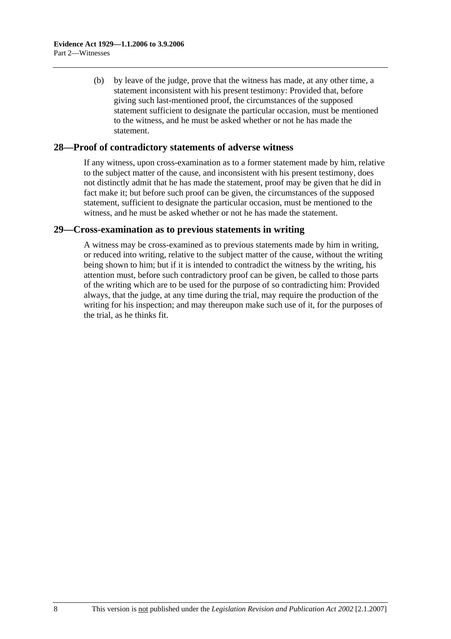(b) by leave of the judge, prove that the witness has made, at any other time, a statement inconsistent with his present testimony: Provided that, before giving such last-mentioned proof, the circumstances of the supposed statement sufficient to designate the particular occasion, must be mentioned to the witness, and he must be asked whether or not he has made the statement.

#### **28—Proof of contradictory statements of adverse witness**

If any witness, upon cross-examination as to a former statement made by him, relative to the subject matter of the cause, and inconsistent with his present testimony, does not distinctly admit that he has made the statement, proof may be given that he did in fact make it; but before such proof can be given, the circumstances of the supposed statement, sufficient to designate the particular occasion, must be mentioned to the witness, and he must be asked whether or not he has made the statement.

#### **29—Cross-examination as to previous statements in writing**

A witness may be cross-examined as to previous statements made by him in writing, or reduced into writing, relative to the subject matter of the cause, without the writing being shown to him; but if it is intended to contradict the witness by the writing, his attention must, before such contradictory proof can be given, be called to those parts of the writing which are to be used for the purpose of so contradicting him: Provided always, that the judge, at any time during the trial, may require the production of the writing for his inspection; and may thereupon make such use of it, for the purposes of the trial, as he thinks fit.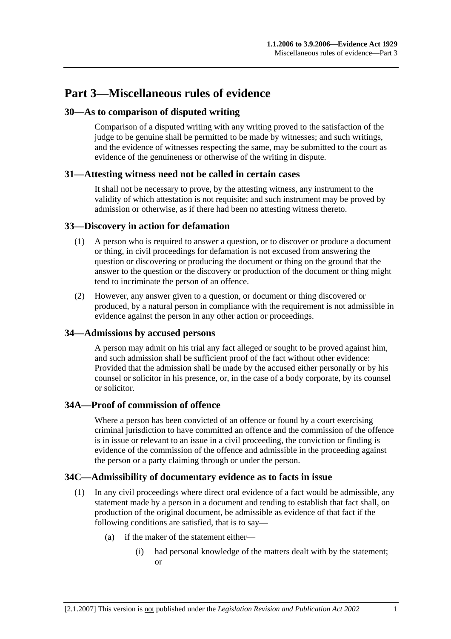## **Part 3—Miscellaneous rules of evidence**

## **30—As to comparison of disputed writing**

Comparison of a disputed writing with any writing proved to the satisfaction of the judge to be genuine shall be permitted to be made by witnesses; and such writings, and the evidence of witnesses respecting the same, may be submitted to the court as evidence of the genuineness or otherwise of the writing in dispute.

#### **31—Attesting witness need not be called in certain cases**

It shall not be necessary to prove, by the attesting witness, any instrument to the validity of which attestation is not requisite; and such instrument may be proved by admission or otherwise, as if there had been no attesting witness thereto.

#### **33—Discovery in action for defamation**

- (1) A person who is required to answer a question, or to discover or produce a document or thing, in civil proceedings for defamation is not excused from answering the question or discovering or producing the document or thing on the ground that the answer to the question or the discovery or production of the document or thing might tend to incriminate the person of an offence.
- (2) However, any answer given to a question, or document or thing discovered or produced, by a natural person in compliance with the requirement is not admissible in evidence against the person in any other action or proceedings.

#### **34—Admissions by accused persons**

A person may admit on his trial any fact alleged or sought to be proved against him, and such admission shall be sufficient proof of the fact without other evidence: Provided that the admission shall be made by the accused either personally or by his counsel or solicitor in his presence, or, in the case of a body corporate, by its counsel or solicitor.

#### **34A—Proof of commission of offence**

Where a person has been convicted of an offence or found by a court exercising criminal jurisdiction to have committed an offence and the commission of the offence is in issue or relevant to an issue in a civil proceeding, the conviction or finding is evidence of the commission of the offence and admissible in the proceeding against the person or a party claiming through or under the person.

#### **34C—Admissibility of documentary evidence as to facts in issue**

- (1) In any civil proceedings where direct oral evidence of a fact would be admissible, any statement made by a person in a document and tending to establish that fact shall, on production of the original document, be admissible as evidence of that fact if the following conditions are satisfied, that is to say—
	- (a) if the maker of the statement either—
		- (i) had personal knowledge of the matters dealt with by the statement; or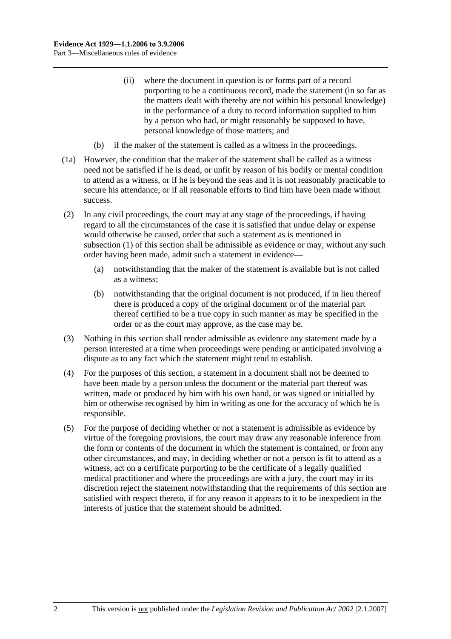- (ii) where the document in question is or forms part of a record purporting to be a continuous record, made the statement (in so far as the matters dealt with thereby are not within his personal knowledge) in the performance of a duty to record information supplied to him by a person who had, or might reasonably be supposed to have, personal knowledge of those matters; and
- (b) if the maker of the statement is called as a witness in the proceedings.
- (1a) However, the condition that the maker of the statement shall be called as a witness need not be satisfied if he is dead, or unfit by reason of his bodily or mental condition to attend as a witness, or if he is beyond the seas and it is not reasonably practicable to secure his attendance, or if all reasonable efforts to find him have been made without success.
- (2) In any civil proceedings, the court may at any stage of the proceedings, if having regard to all the circumstances of the case it is satisfied that undue delay or expense would otherwise be caused, order that such a statement as is mentioned in subsection (1) of this section shall be admissible as evidence or may, without any such order having been made, admit such a statement in evidence—
	- (a) notwithstanding that the maker of the statement is available but is not called as a witness;
	- (b) notwithstanding that the original document is not produced, if in lieu thereof there is produced a copy of the original document or of the material part thereof certified to be a true copy in such manner as may be specified in the order or as the court may approve, as the case may be.
- (3) Nothing in this section shall render admissible as evidence any statement made by a person interested at a time when proceedings were pending or anticipated involving a dispute as to any fact which the statement might tend to establish.
- (4) For the purposes of this section, a statement in a document shall not be deemed to have been made by a person unless the document or the material part thereof was written, made or produced by him with his own hand, or was signed or initialled by him or otherwise recognised by him in writing as one for the accuracy of which he is responsible.
- (5) For the purpose of deciding whether or not a statement is admissible as evidence by virtue of the foregoing provisions, the court may draw any reasonable inference from the form or contents of the document in which the statement is contained, or from any other circumstances, and may, in deciding whether or not a person is fit to attend as a witness, act on a certificate purporting to be the certificate of a legally qualified medical practitioner and where the proceedings are with a jury, the court may in its discretion reject the statement notwithstanding that the requirements of this section are satisfied with respect thereto, if for any reason it appears to it to be inexpedient in the interests of justice that the statement should be admitted.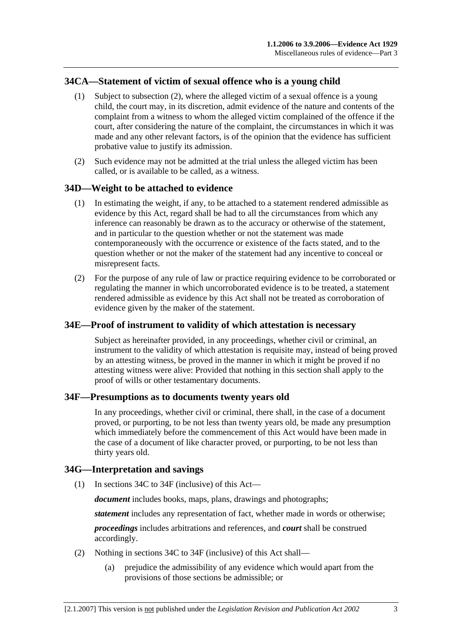## **34CA—Statement of victim of sexual offence who is a young child**

- (1) Subject to subsection (2), where the alleged victim of a sexual offence is a young child, the court may, in its discretion, admit evidence of the nature and contents of the complaint from a witness to whom the alleged victim complained of the offence if the court, after considering the nature of the complaint, the circumstances in which it was made and any other relevant factors, is of the opinion that the evidence has sufficient probative value to justify its admission.
- (2) Such evidence may not be admitted at the trial unless the alleged victim has been called, or is available to be called, as a witness.

#### **34D—Weight to be attached to evidence**

- (1) In estimating the weight, if any, to be attached to a statement rendered admissible as evidence by this Act, regard shall be had to all the circumstances from which any inference can reasonably be drawn as to the accuracy or otherwise of the statement, and in particular to the question whether or not the statement was made contemporaneously with the occurrence or existence of the facts stated, and to the question whether or not the maker of the statement had any incentive to conceal or misrepresent facts.
- (2) For the purpose of any rule of law or practice requiring evidence to be corroborated or regulating the manner in which uncorroborated evidence is to be treated, a statement rendered admissible as evidence by this Act shall not be treated as corroboration of evidence given by the maker of the statement.

## **34E—Proof of instrument to validity of which attestation is necessary**

Subject as hereinafter provided, in any proceedings, whether civil or criminal, an instrument to the validity of which attestation is requisite may, instead of being proved by an attesting witness, be proved in the manner in which it might be proved if no attesting witness were alive: Provided that nothing in this section shall apply to the proof of wills or other testamentary documents.

#### **34F—Presumptions as to documents twenty years old**

In any proceedings, whether civil or criminal, there shall, in the case of a document proved, or purporting, to be not less than twenty years old, be made any presumption which immediately before the commencement of this Act would have been made in the case of a document of like character proved, or purporting, to be not less than thirty years old.

#### **34G—Interpretation and savings**

(1) In sections 34C to 34F (inclusive) of this Act—

*document* includes books, maps, plans, drawings and photographs;

*statement* includes any representation of fact, whether made in words or otherwise;

*proceedings* includes arbitrations and references, and *court* shall be construed accordingly.

- (2) Nothing in sections 34C to 34F (inclusive) of this Act shall—
	- (a) prejudice the admissibility of any evidence which would apart from the provisions of those sections be admissible; or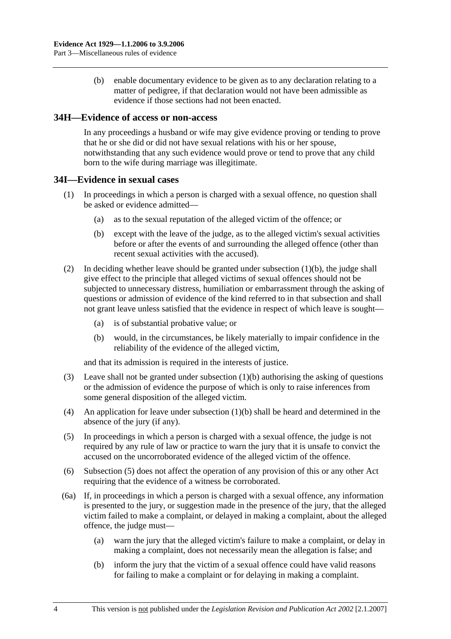(b) enable documentary evidence to be given as to any declaration relating to a matter of pedigree, if that declaration would not have been admissible as evidence if those sections had not been enacted.

#### **34H—Evidence of access or non-access**

In any proceedings a husband or wife may give evidence proving or tending to prove that he or she did or did not have sexual relations with his or her spouse, notwithstanding that any such evidence would prove or tend to prove that any child born to the wife during marriage was illegitimate.

#### **34I—Evidence in sexual cases**

- (1) In proceedings in which a person is charged with a sexual offence, no question shall be asked or evidence admitted—
	- (a) as to the sexual reputation of the alleged victim of the offence; or
	- (b) except with the leave of the judge, as to the alleged victim's sexual activities before or after the events of and surrounding the alleged offence (other than recent sexual activities with the accused).
- (2) In deciding whether leave should be granted under subsection (1)(b), the judge shall give effect to the principle that alleged victims of sexual offences should not be subjected to unnecessary distress, humiliation or embarrassment through the asking of questions or admission of evidence of the kind referred to in that subsection and shall not grant leave unless satisfied that the evidence in respect of which leave is sought—
	- (a) is of substantial probative value; or
	- (b) would, in the circumstances, be likely materially to impair confidence in the reliability of the evidence of the alleged victim,

and that its admission is required in the interests of justice.

- (3) Leave shall not be granted under subsection (1)(b) authorising the asking of questions or the admission of evidence the purpose of which is only to raise inferences from some general disposition of the alleged victim.
- (4) An application for leave under subsection (1)(b) shall be heard and determined in the absence of the jury (if any).
- (5) In proceedings in which a person is charged with a sexual offence, the judge is not required by any rule of law or practice to warn the jury that it is unsafe to convict the accused on the uncorroborated evidence of the alleged victim of the offence.
- (6) Subsection (5) does not affect the operation of any provision of this or any other Act requiring that the evidence of a witness be corroborated.
- (6a) If, in proceedings in which a person is charged with a sexual offence, any information is presented to the jury, or suggestion made in the presence of the jury, that the alleged victim failed to make a complaint, or delayed in making a complaint, about the alleged offence, the judge must—
	- (a) warn the jury that the alleged victim's failure to make a complaint, or delay in making a complaint, does not necessarily mean the allegation is false; and
	- (b) inform the jury that the victim of a sexual offence could have valid reasons for failing to make a complaint or for delaying in making a complaint.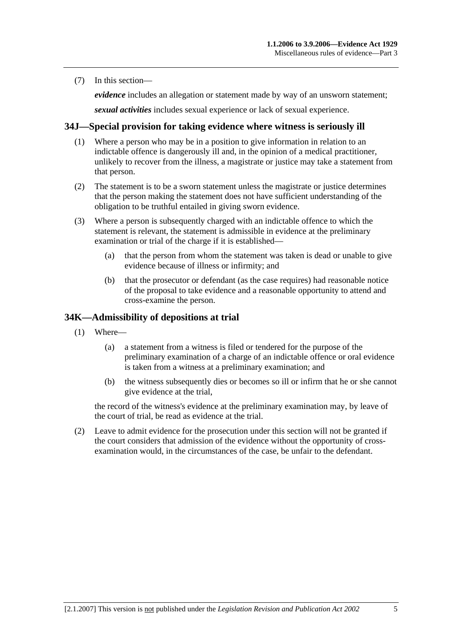(7) In this section—

*evidence* includes an allegation or statement made by way of an unsworn statement;

*sexual activities* includes sexual experience or lack of sexual experience.

## **34J—Special provision for taking evidence where witness is seriously ill**

- (1) Where a person who may be in a position to give information in relation to an indictable offence is dangerously ill and, in the opinion of a medical practitioner, unlikely to recover from the illness, a magistrate or justice may take a statement from that person.
- (2) The statement is to be a sworn statement unless the magistrate or justice determines that the person making the statement does not have sufficient understanding of the obligation to be truthful entailed in giving sworn evidence.
- (3) Where a person is subsequently charged with an indictable offence to which the statement is relevant, the statement is admissible in evidence at the preliminary examination or trial of the charge if it is established—
	- (a) that the person from whom the statement was taken is dead or unable to give evidence because of illness or infirmity; and
	- (b) that the prosecutor or defendant (as the case requires) had reasonable notice of the proposal to take evidence and a reasonable opportunity to attend and cross-examine the person.

## **34K—Admissibility of depositions at trial**

- (1) Where—
	- (a) a statement from a witness is filed or tendered for the purpose of the preliminary examination of a charge of an indictable offence or oral evidence is taken from a witness at a preliminary examination; and
	- (b) the witness subsequently dies or becomes so ill or infirm that he or she cannot give evidence at the trial,

the record of the witness's evidence at the preliminary examination may, by leave of the court of trial, be read as evidence at the trial.

 (2) Leave to admit evidence for the prosecution under this section will not be granted if the court considers that admission of the evidence without the opportunity of crossexamination would, in the circumstances of the case, be unfair to the defendant.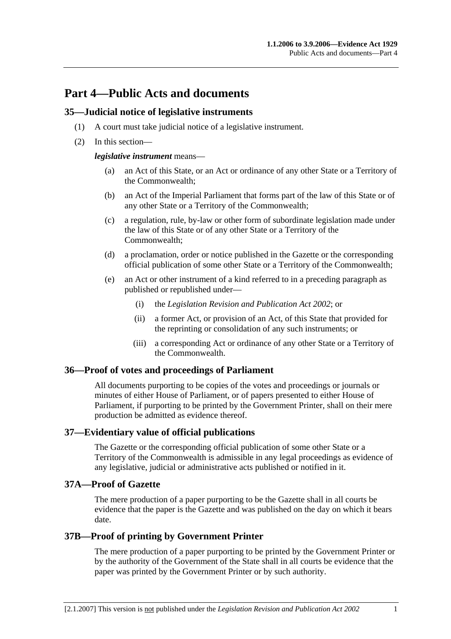## **Part 4—Public Acts and documents**

#### **35—Judicial notice of legislative instruments**

- (1) A court must take judicial notice of a legislative instrument.
- (2) In this section—

#### *legislative instrument* means—

- (a) an Act of this State, or an Act or ordinance of any other State or a Territory of the Commonwealth;
- (b) an Act of the Imperial Parliament that forms part of the law of this State or of any other State or a Territory of the Commonwealth;
- (c) a regulation, rule, by-law or other form of subordinate legislation made under the law of this State or of any other State or a Territory of the Commonwealth;
- (d) a proclamation, order or notice published in the Gazette or the corresponding official publication of some other State or a Territory of the Commonwealth;
- (e) an Act or other instrument of a kind referred to in a preceding paragraph as published or republished under—
	- (i) the *Legislation Revision and Publication Act 2002*; or
	- (ii) a former Act, or provision of an Act, of this State that provided for the reprinting or consolidation of any such instruments; or
	- (iii) a corresponding Act or ordinance of any other State or a Territory of the Commonwealth.

#### **36—Proof of votes and proceedings of Parliament**

All documents purporting to be copies of the votes and proceedings or journals or minutes of either House of Parliament, or of papers presented to either House of Parliament, if purporting to be printed by the Government Printer, shall on their mere production be admitted as evidence thereof.

#### **37—Evidentiary value of official publications**

The Gazette or the corresponding official publication of some other State or a Territory of the Commonwealth is admissible in any legal proceedings as evidence of any legislative, judicial or administrative acts published or notified in it.

#### **37A—Proof of Gazette**

The mere production of a paper purporting to be the Gazette shall in all courts be evidence that the paper is the Gazette and was published on the day on which it bears date.

## **37B—Proof of printing by Government Printer**

The mere production of a paper purporting to be printed by the Government Printer or by the authority of the Government of the State shall in all courts be evidence that the paper was printed by the Government Printer or by such authority.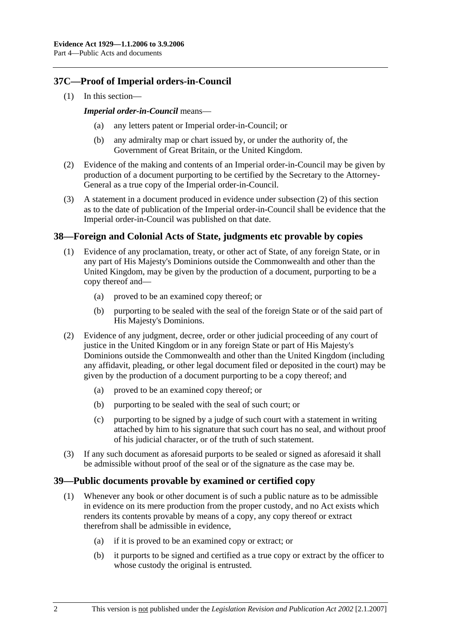## **37C—Proof of Imperial orders-in-Council**

(1) In this section—

#### *Imperial order-in-Council* means—

- any letters patent or Imperial order-in-Council; or
- (b) any admiralty map or chart issued by, or under the authority of, the Government of Great Britain, or the United Kingdom.
- (2) Evidence of the making and contents of an Imperial order-in-Council may be given by production of a document purporting to be certified by the Secretary to the Attorney-General as a true copy of the Imperial order-in-Council.
- (3) A statement in a document produced in evidence under subsection (2) of this section as to the date of publication of the Imperial order-in-Council shall be evidence that the Imperial order-in-Council was published on that date.

#### **38—Foreign and Colonial Acts of State, judgments etc provable by copies**

- (1) Evidence of any proclamation, treaty, or other act of State, of any foreign State, or in any part of His Majesty's Dominions outside the Commonwealth and other than the United Kingdom, may be given by the production of a document, purporting to be a copy thereof and—
	- (a) proved to be an examined copy thereof; or
	- (b) purporting to be sealed with the seal of the foreign State or of the said part of His Majesty's Dominions.
- (2) Evidence of any judgment, decree, order or other judicial proceeding of any court of justice in the United Kingdom or in any foreign State or part of His Majesty's Dominions outside the Commonwealth and other than the United Kingdom (including any affidavit, pleading, or other legal document filed or deposited in the court) may be given by the production of a document purporting to be a copy thereof; and
	- (a) proved to be an examined copy thereof; or
	- (b) purporting to be sealed with the seal of such court; or
	- (c) purporting to be signed by a judge of such court with a statement in writing attached by him to his signature that such court has no seal, and without proof of his judicial character, or of the truth of such statement.
- (3) If any such document as aforesaid purports to be sealed or signed as aforesaid it shall be admissible without proof of the seal or of the signature as the case may be.

#### **39—Public documents provable by examined or certified copy**

- (1) Whenever any book or other document is of such a public nature as to be admissible in evidence on its mere production from the proper custody, and no Act exists which renders its contents provable by means of a copy, any copy thereof or extract therefrom shall be admissible in evidence,
	- (a) if it is proved to be an examined copy or extract; or
	- (b) it purports to be signed and certified as a true copy or extract by the officer to whose custody the original is entrusted.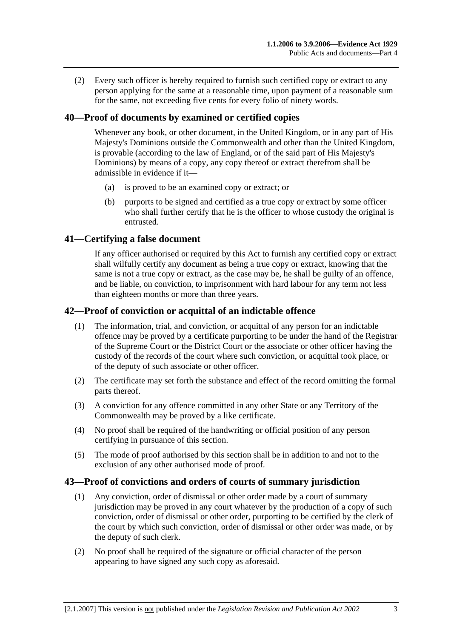(2) Every such officer is hereby required to furnish such certified copy or extract to any person applying for the same at a reasonable time, upon payment of a reasonable sum for the same, not exceeding five cents for every folio of ninety words.

## **40—Proof of documents by examined or certified copies**

Whenever any book, or other document, in the United Kingdom, or in any part of His Majesty's Dominions outside the Commonwealth and other than the United Kingdom, is provable (according to the law of England, or of the said part of His Majesty's Dominions) by means of a copy, any copy thereof or extract therefrom shall be admissible in evidence if it—

- (a) is proved to be an examined copy or extract; or
- (b) purports to be signed and certified as a true copy or extract by some officer who shall further certify that he is the officer to whose custody the original is entrusted.

#### **41—Certifying a false document**

If any officer authorised or required by this Act to furnish any certified copy or extract shall wilfully certify any document as being a true copy or extract, knowing that the same is not a true copy or extract, as the case may be, he shall be guilty of an offence, and be liable, on conviction, to imprisonment with hard labour for any term not less than eighteen months or more than three years.

#### **42—Proof of conviction or acquittal of an indictable offence**

- (1) The information, trial, and conviction, or acquittal of any person for an indictable offence may be proved by a certificate purporting to be under the hand of the Registrar of the Supreme Court or the District Court or the associate or other officer having the custody of the records of the court where such conviction, or acquittal took place, or of the deputy of such associate or other officer.
- (2) The certificate may set forth the substance and effect of the record omitting the formal parts thereof.
- (3) A conviction for any offence committed in any other State or any Territory of the Commonwealth may be proved by a like certificate.
- (4) No proof shall be required of the handwriting or official position of any person certifying in pursuance of this section.
- (5) The mode of proof authorised by this section shall be in addition to and not to the exclusion of any other authorised mode of proof.

#### **43—Proof of convictions and orders of courts of summary jurisdiction**

- (1) Any conviction, order of dismissal or other order made by a court of summary jurisdiction may be proved in any court whatever by the production of a copy of such conviction, order of dismissal or other order, purporting to be certified by the clerk of the court by which such conviction, order of dismissal or other order was made, or by the deputy of such clerk.
- (2) No proof shall be required of the signature or official character of the person appearing to have signed any such copy as aforesaid.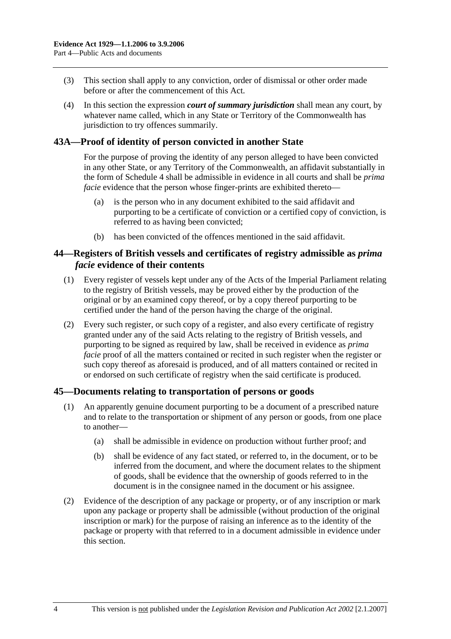- (3) This section shall apply to any conviction, order of dismissal or other order made before or after the commencement of this Act.
- (4) In this section the expression *court of summary jurisdiction* shall mean any court, by whatever name called, which in any State or Territory of the Commonwealth has jurisdiction to try offences summarily.

## **43A—Proof of identity of person convicted in another State**

For the purpose of proving the identity of any person alleged to have been convicted in any other State, or any Territory of the Commonwealth, an affidavit substantially in the form of Schedule 4 shall be admissible in evidence in all courts and shall be *prima facie* evidence that the person whose finger-prints are exhibited thereto—

- (a) is the person who in any document exhibited to the said affidavit and purporting to be a certificate of conviction or a certified copy of conviction, is referred to as having been convicted;
- (b) has been convicted of the offences mentioned in the said affidavit.

## **44—Registers of British vessels and certificates of registry admissible as** *prima facie* **evidence of their contents**

- (1) Every register of vessels kept under any of the Acts of the Imperial Parliament relating to the registry of British vessels, may be proved either by the production of the original or by an examined copy thereof, or by a copy thereof purporting to be certified under the hand of the person having the charge of the original.
- (2) Every such register, or such copy of a register, and also every certificate of registry granted under any of the said Acts relating to the registry of British vessels, and purporting to be signed as required by law, shall be received in evidence as *prima facie* proof of all the matters contained or recited in such register when the register or such copy thereof as aforesaid is produced, and of all matters contained or recited in or endorsed on such certificate of registry when the said certificate is produced.

## **45—Documents relating to transportation of persons or goods**

- (1) An apparently genuine document purporting to be a document of a prescribed nature and to relate to the transportation or shipment of any person or goods, from one place to another—
	- (a) shall be admissible in evidence on production without further proof; and
	- (b) shall be evidence of any fact stated, or referred to, in the document, or to be inferred from the document, and where the document relates to the shipment of goods, shall be evidence that the ownership of goods referred to in the document is in the consignee named in the document or his assignee.
- (2) Evidence of the description of any package or property, or of any inscription or mark upon any package or property shall be admissible (without production of the original inscription or mark) for the purpose of raising an inference as to the identity of the package or property with that referred to in a document admissible in evidence under this section.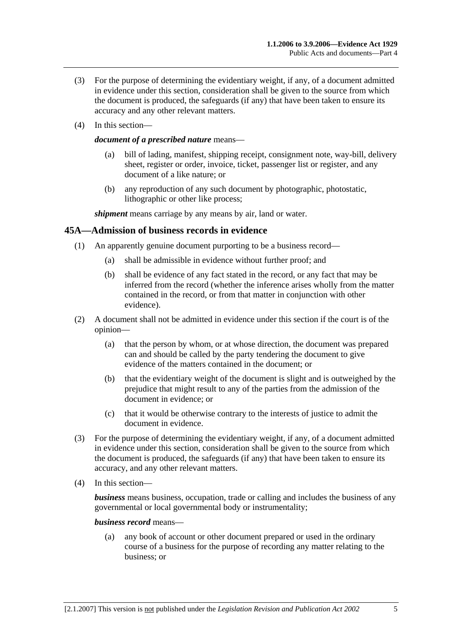- (3) For the purpose of determining the evidentiary weight, if any, of a document admitted in evidence under this section, consideration shall be given to the source from which the document is produced, the safeguards (if any) that have been taken to ensure its accuracy and any other relevant matters.
- (4) In this section—

#### *document of a prescribed nature* means—

- (a) bill of lading, manifest, shipping receipt, consignment note, way-bill, delivery sheet, register or order, invoice, ticket, passenger list or register, and any document of a like nature; or
- (b) any reproduction of any such document by photographic, photostatic, lithographic or other like process;

*shipment* means carriage by any means by air, land or water.

#### **45A—Admission of business records in evidence**

- (1) An apparently genuine document purporting to be a business record—
	- (a) shall be admissible in evidence without further proof; and
	- (b) shall be evidence of any fact stated in the record, or any fact that may be inferred from the record (whether the inference arises wholly from the matter contained in the record, or from that matter in conjunction with other evidence).
- (2) A document shall not be admitted in evidence under this section if the court is of the opinion—
	- (a) that the person by whom, or at whose direction, the document was prepared can and should be called by the party tendering the document to give evidence of the matters contained in the document; or
	- (b) that the evidentiary weight of the document is slight and is outweighed by the prejudice that might result to any of the parties from the admission of the document in evidence; or
	- (c) that it would be otherwise contrary to the interests of justice to admit the document in evidence.
- (3) For the purpose of determining the evidentiary weight, if any, of a document admitted in evidence under this section, consideration shall be given to the source from which the document is produced, the safeguards (if any) that have been taken to ensure its accuracy, and any other relevant matters.
- (4) In this section—

*business* means business, occupation, trade or calling and includes the business of any governmental or local governmental body or instrumentality;

#### *business record* means—

 (a) any book of account or other document prepared or used in the ordinary course of a business for the purpose of recording any matter relating to the business; or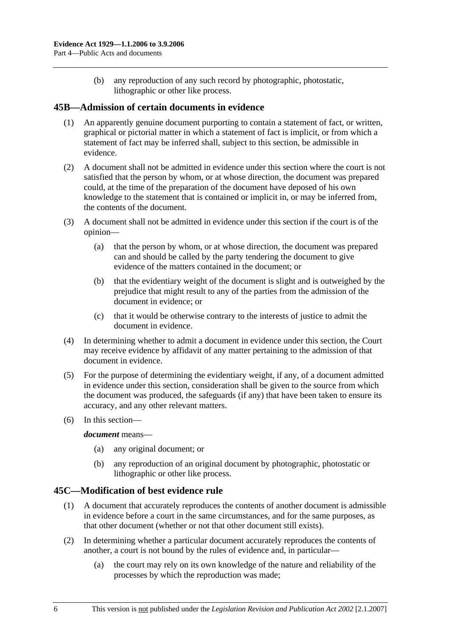(b) any reproduction of any such record by photographic, photostatic, lithographic or other like process.

## **45B—Admission of certain documents in evidence**

- (1) An apparently genuine document purporting to contain a statement of fact, or written, graphical or pictorial matter in which a statement of fact is implicit, or from which a statement of fact may be inferred shall, subject to this section, be admissible in evidence.
- (2) A document shall not be admitted in evidence under this section where the court is not satisfied that the person by whom, or at whose direction, the document was prepared could, at the time of the preparation of the document have deposed of his own knowledge to the statement that is contained or implicit in, or may be inferred from, the contents of the document.
- (3) A document shall not be admitted in evidence under this section if the court is of the opinion—
	- (a) that the person by whom, or at whose direction, the document was prepared can and should be called by the party tendering the document to give evidence of the matters contained in the document; or
	- (b) that the evidentiary weight of the document is slight and is outweighed by the prejudice that might result to any of the parties from the admission of the document in evidence; or
	- (c) that it would be otherwise contrary to the interests of justice to admit the document in evidence.
- (4) In determining whether to admit a document in evidence under this section, the Court may receive evidence by affidavit of any matter pertaining to the admission of that document in evidence.
- (5) For the purpose of determining the evidentiary weight, if any, of a document admitted in evidence under this section, consideration shall be given to the source from which the document was produced, the safeguards (if any) that have been taken to ensure its accuracy, and any other relevant matters.
- (6) In this section—

#### *document* means—

- (a) any original document; or
- (b) any reproduction of an original document by photographic, photostatic or lithographic or other like process.

#### **45C—Modification of best evidence rule**

- (1) A document that accurately reproduces the contents of another document is admissible in evidence before a court in the same circumstances, and for the same purposes, as that other document (whether or not that other document still exists).
- (2) In determining whether a particular document accurately reproduces the contents of another, a court is not bound by the rules of evidence and, in particular—
	- (a) the court may rely on its own knowledge of the nature and reliability of the processes by which the reproduction was made;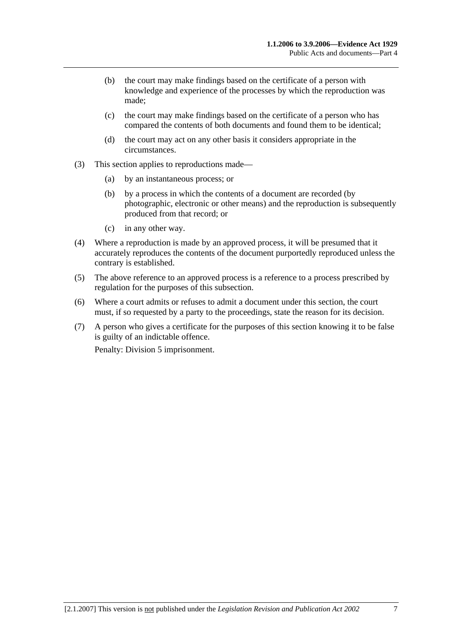- (b) the court may make findings based on the certificate of a person with knowledge and experience of the processes by which the reproduction was made;
- (c) the court may make findings based on the certificate of a person who has compared the contents of both documents and found them to be identical;
- (d) the court may act on any other basis it considers appropriate in the circumstances.
- (3) This section applies to reproductions made—
	- (a) by an instantaneous process; or
	- (b) by a process in which the contents of a document are recorded (by photographic, electronic or other means) and the reproduction is subsequently produced from that record; or
	- (c) in any other way.
- (4) Where a reproduction is made by an approved process, it will be presumed that it accurately reproduces the contents of the document purportedly reproduced unless the contrary is established.
- (5) The above reference to an approved process is a reference to a process prescribed by regulation for the purposes of this subsection.
- (6) Where a court admits or refuses to admit a document under this section, the court must, if so requested by a party to the proceedings, state the reason for its decision.
- (7) A person who gives a certificate for the purposes of this section knowing it to be false is guilty of an indictable offence.

Penalty: Division 5 imprisonment.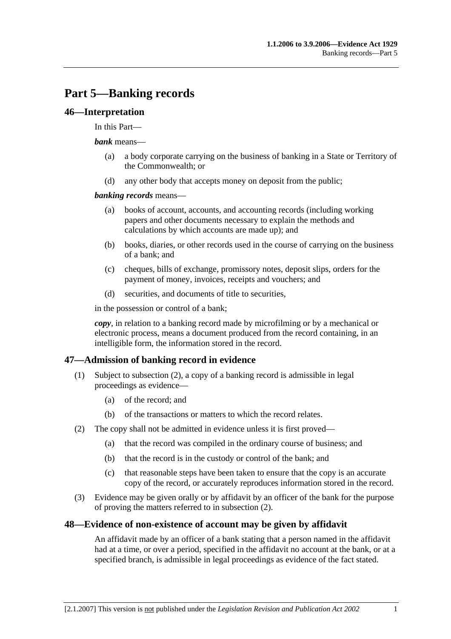## **Part 5—Banking records**

## **46—Interpretation**

In this Part—

*bank* means—

- (a) a body corporate carrying on the business of banking in a State or Territory of the Commonwealth; or
- (d) any other body that accepts money on deposit from the public;

#### *banking records* means—

- (a) books of account, accounts, and accounting records (including working papers and other documents necessary to explain the methods and calculations by which accounts are made up); and
- (b) books, diaries, or other records used in the course of carrying on the business of a bank; and
- (c) cheques, bills of exchange, promissory notes, deposit slips, orders for the payment of money, invoices, receipts and vouchers; and
- (d) securities, and documents of title to securities,

in the possession or control of a bank;

*copy*, in relation to a banking record made by microfilming or by a mechanical or electronic process, means a document produced from the record containing, in an intelligible form, the information stored in the record.

## **47—Admission of banking record in evidence**

- (1) Subject to subsection (2), a copy of a banking record is admissible in legal proceedings as evidence—
	- (a) of the record; and
	- (b) of the transactions or matters to which the record relates.
- (2) The copy shall not be admitted in evidence unless it is first proved—
	- (a) that the record was compiled in the ordinary course of business; and
	- (b) that the record is in the custody or control of the bank; and
	- (c) that reasonable steps have been taken to ensure that the copy is an accurate copy of the record, or accurately reproduces information stored in the record.
- (3) Evidence may be given orally or by affidavit by an officer of the bank for the purpose of proving the matters referred to in subsection (2).

## **48—Evidence of non-existence of account may be given by affidavit**

An affidavit made by an officer of a bank stating that a person named in the affidavit had at a time, or over a period, specified in the affidavit no account at the bank, or at a specified branch, is admissible in legal proceedings as evidence of the fact stated.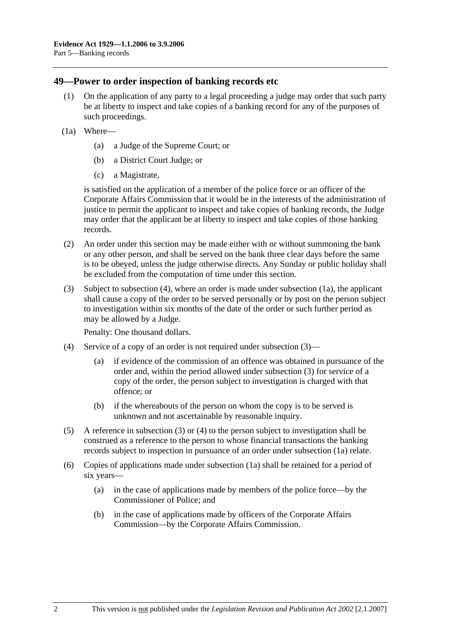## **49—Power to order inspection of banking records etc**

- (1) On the application of any party to a legal proceeding a judge may order that such party be at liberty to inspect and take copies of a banking record for any of the purposes of such proceedings.
- (1a) Where—
	- (a) a Judge of the Supreme Court; or
	- (b) a District Court Judge; or
	- (c) a Magistrate,

is satisfied on the application of a member of the police force or an officer of the Corporate Affairs Commission that it would be in the interests of the administration of justice to permit the applicant to inspect and take copies of banking records, the Judge may order that the applicant be at liberty to inspect and take copies of those banking records.

- (2) An order under this section may be made either with or without summoning the bank or any other person, and shall be served on the bank three clear days before the same is to be obeyed, unless the judge otherwise directs. Any Sunday or public holiday shall be excluded from the computation of time under this section.
- (3) Subject to subsection (4), where an order is made under subsection (1a), the applicant shall cause a copy of the order to be served personally or by post on the person subject to investigation within six months of the date of the order or such further period as may be allowed by a Judge.

Penalty: One thousand dollars.

- (4) Service of a copy of an order is not required under subsection (3)—
	- (a) if evidence of the commission of an offence was obtained in pursuance of the order and, within the period allowed under subsection (3) for service of a copy of the order, the person subject to investigation is charged with that offence; or
	- (b) if the whereabouts of the person on whom the copy is to be served is unknown and not ascertainable by reasonable inquiry.
- (5) A reference in subsection (3) or (4) to the person subject to investigation shall be construed as a reference to the person to whose financial transactions the banking records subject to inspection in pursuance of an order under subsection (1a) relate.
- (6) Copies of applications made under subsection (1a) shall be retained for a period of six years—
	- (a) in the case of applications made by members of the police force—by the Commissioner of Police; and
	- (b) in the case of applications made by officers of the Corporate Affairs Commission—by the Corporate Affairs Commission.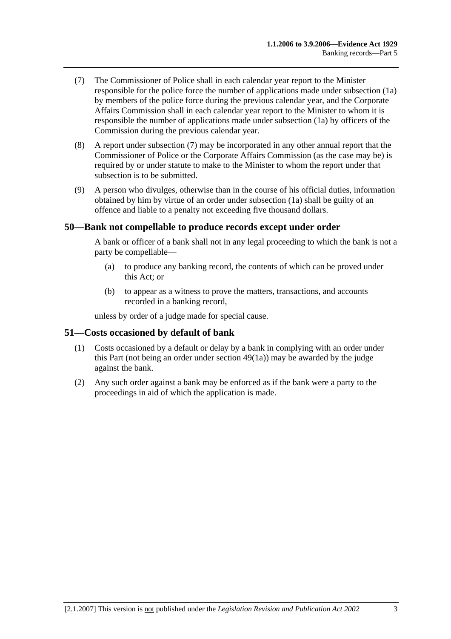- (7) The Commissioner of Police shall in each calendar year report to the Minister responsible for the police force the number of applications made under subsection (1a) by members of the police force during the previous calendar year, and the Corporate Affairs Commission shall in each calendar year report to the Minister to whom it is responsible the number of applications made under subsection (1a) by officers of the Commission during the previous calendar year.
- (8) A report under subsection (7) may be incorporated in any other annual report that the Commissioner of Police or the Corporate Affairs Commission (as the case may be) is required by or under statute to make to the Minister to whom the report under that subsection is to be submitted.
- (9) A person who divulges, otherwise than in the course of his official duties, information obtained by him by virtue of an order under subsection (1a) shall be guilty of an offence and liable to a penalty not exceeding five thousand dollars.

#### **50—Bank not compellable to produce records except under order**

A bank or officer of a bank shall not in any legal proceeding to which the bank is not a party be compellable—

- (a) to produce any banking record, the contents of which can be proved under this Act; or
- (b) to appear as a witness to prove the matters, transactions, and accounts recorded in a banking record,

unless by order of a judge made for special cause.

#### **51—Costs occasioned by default of bank**

- (1) Costs occasioned by a default or delay by a bank in complying with an order under this Part (not being an order under section 49(1a)) may be awarded by the judge against the bank.
- (2) Any such order against a bank may be enforced as if the bank were a party to the proceedings in aid of which the application is made.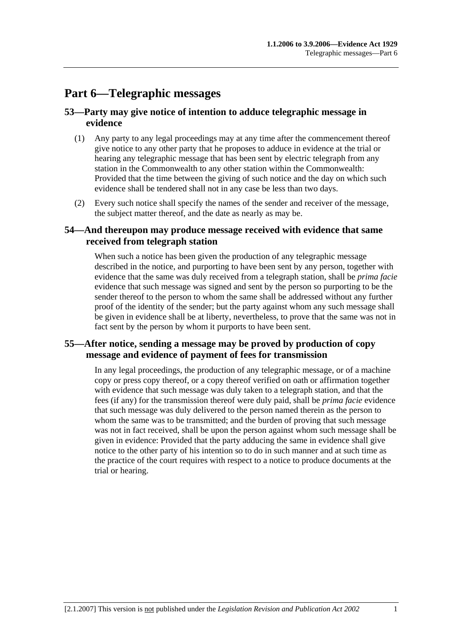## **Part 6—Telegraphic messages**

## **53—Party may give notice of intention to adduce telegraphic message in evidence**

- (1) Any party to any legal proceedings may at any time after the commencement thereof give notice to any other party that he proposes to adduce in evidence at the trial or hearing any telegraphic message that has been sent by electric telegraph from any station in the Commonwealth to any other station within the Commonwealth: Provided that the time between the giving of such notice and the day on which such evidence shall be tendered shall not in any case be less than two days.
- (2) Every such notice shall specify the names of the sender and receiver of the message, the subject matter thereof, and the date as nearly as may be.

## **54—And thereupon may produce message received with evidence that same received from telegraph station**

When such a notice has been given the production of any telegraphic message described in the notice, and purporting to have been sent by any person, together with evidence that the same was duly received from a telegraph station, shall be *prima facie* evidence that such message was signed and sent by the person so purporting to be the sender thereof to the person to whom the same shall be addressed without any further proof of the identity of the sender; but the party against whom any such message shall be given in evidence shall be at liberty, nevertheless, to prove that the same was not in fact sent by the person by whom it purports to have been sent.

## **55—After notice, sending a message may be proved by production of copy message and evidence of payment of fees for transmission**

In any legal proceedings, the production of any telegraphic message, or of a machine copy or press copy thereof, or a copy thereof verified on oath or affirmation together with evidence that such message was duly taken to a telegraph station, and that the fees (if any) for the transmission thereof were duly paid, shall be *prima facie* evidence that such message was duly delivered to the person named therein as the person to whom the same was to be transmitted; and the burden of proving that such message was not in fact received, shall be upon the person against whom such message shall be given in evidence: Provided that the party adducing the same in evidence shall give notice to the other party of his intention so to do in such manner and at such time as the practice of the court requires with respect to a notice to produce documents at the trial or hearing.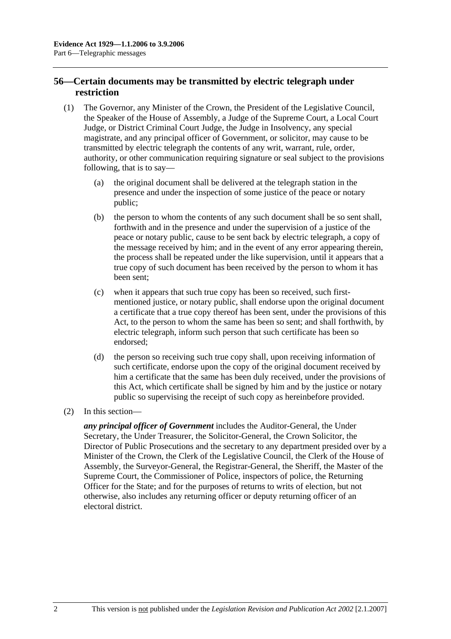## **56—Certain documents may be transmitted by electric telegraph under restriction**

- (1) The Governor, any Minister of the Crown, the President of the Legislative Council, the Speaker of the House of Assembly, a Judge of the Supreme Court, a Local Court Judge, or District Criminal Court Judge, the Judge in Insolvency, any special magistrate, and any principal officer of Government, or solicitor, may cause to be transmitted by electric telegraph the contents of any writ, warrant, rule, order, authority, or other communication requiring signature or seal subject to the provisions following, that is to say—
	- (a) the original document shall be delivered at the telegraph station in the presence and under the inspection of some justice of the peace or notary public;
	- (b) the person to whom the contents of any such document shall be so sent shall, forthwith and in the presence and under the supervision of a justice of the peace or notary public, cause to be sent back by electric telegraph, a copy of the message received by him; and in the event of any error appearing therein, the process shall be repeated under the like supervision, until it appears that a true copy of such document has been received by the person to whom it has been sent;
	- (c) when it appears that such true copy has been so received, such firstmentioned justice, or notary public, shall endorse upon the original document a certificate that a true copy thereof has been sent, under the provisions of this Act, to the person to whom the same has been so sent; and shall forthwith, by electric telegraph, inform such person that such certificate has been so endorsed;
	- (d) the person so receiving such true copy shall, upon receiving information of such certificate, endorse upon the copy of the original document received by him a certificate that the same has been duly received, under the provisions of this Act, which certificate shall be signed by him and by the justice or notary public so supervising the receipt of such copy as hereinbefore provided.
- (2) In this section—

*any principal officer of Government* includes the Auditor-General, the Under Secretary, the Under Treasurer, the Solicitor-General, the Crown Solicitor, the Director of Public Prosecutions and the secretary to any department presided over by a Minister of the Crown, the Clerk of the Legislative Council, the Clerk of the House of Assembly, the Surveyor-General, the Registrar-General, the Sheriff, the Master of the Supreme Court, the Commissioner of Police, inspectors of police, the Returning Officer for the State; and for the purposes of returns to writs of election, but not otherwise, also includes any returning officer or deputy returning officer of an electoral district.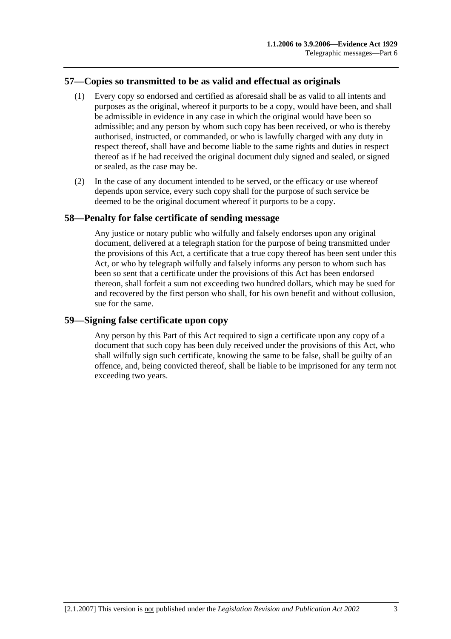#### **57—Copies so transmitted to be as valid and effectual as originals**

- (1) Every copy so endorsed and certified as aforesaid shall be as valid to all intents and purposes as the original, whereof it purports to be a copy, would have been, and shall be admissible in evidence in any case in which the original would have been so admissible; and any person by whom such copy has been received, or who is thereby authorised, instructed, or commanded, or who is lawfully charged with any duty in respect thereof, shall have and become liable to the same rights and duties in respect thereof as if he had received the original document duly signed and sealed, or signed or sealed, as the case may be.
- (2) In the case of any document intended to be served, or the efficacy or use whereof depends upon service, every such copy shall for the purpose of such service be deemed to be the original document whereof it purports to be a copy.

#### **58—Penalty for false certificate of sending message**

Any justice or notary public who wilfully and falsely endorses upon any original document, delivered at a telegraph station for the purpose of being transmitted under the provisions of this Act, a certificate that a true copy thereof has been sent under this Act, or who by telegraph wilfully and falsely informs any person to whom such has been so sent that a certificate under the provisions of this Act has been endorsed thereon, shall forfeit a sum not exceeding two hundred dollars, which may be sued for and recovered by the first person who shall, for his own benefit and without collusion, sue for the same.

#### **59—Signing false certificate upon copy**

Any person by this Part of this Act required to sign a certificate upon any copy of a document that such copy has been duly received under the provisions of this Act, who shall wilfully sign such certificate, knowing the same to be false, shall be guilty of an offence, and, being convicted thereof, shall be liable to be imprisoned for any term not exceeding two years.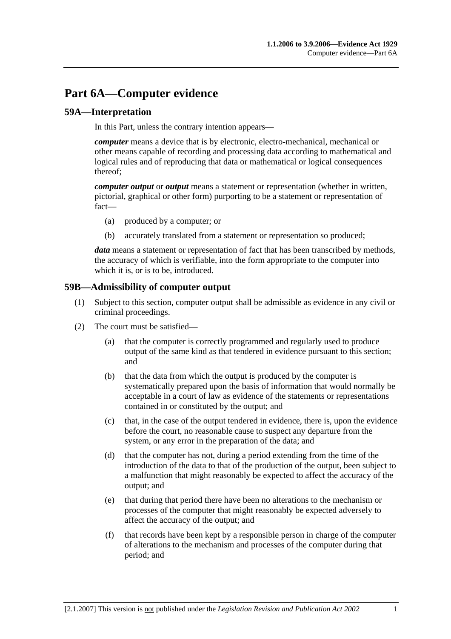## **Part 6A—Computer evidence**

#### **59A—Interpretation**

In this Part, unless the contrary intention appears—

*computer* means a device that is by electronic, electro-mechanical, mechanical or other means capable of recording and processing data according to mathematical and logical rules and of reproducing that data or mathematical or logical consequences thereof;

*computer output* or *output* means a statement or representation (whether in written, pictorial, graphical or other form) purporting to be a statement or representation of fact—

- (a) produced by a computer; or
- (b) accurately translated from a statement or representation so produced;

*data* means a statement or representation of fact that has been transcribed by methods, the accuracy of which is verifiable, into the form appropriate to the computer into which it is, or is to be, introduced.

#### **59B—Admissibility of computer output**

- (1) Subject to this section, computer output shall be admissible as evidence in any civil or criminal proceedings.
- (2) The court must be satisfied—
	- (a) that the computer is correctly programmed and regularly used to produce output of the same kind as that tendered in evidence pursuant to this section; and
	- (b) that the data from which the output is produced by the computer is systematically prepared upon the basis of information that would normally be acceptable in a court of law as evidence of the statements or representations contained in or constituted by the output; and
	- (c) that, in the case of the output tendered in evidence, there is, upon the evidence before the court, no reasonable cause to suspect any departure from the system, or any error in the preparation of the data; and
	- (d) that the computer has not, during a period extending from the time of the introduction of the data to that of the production of the output, been subject to a malfunction that might reasonably be expected to affect the accuracy of the output; and
	- (e) that during that period there have been no alterations to the mechanism or processes of the computer that might reasonably be expected adversely to affect the accuracy of the output; and
	- (f) that records have been kept by a responsible person in charge of the computer of alterations to the mechanism and processes of the computer during that period; and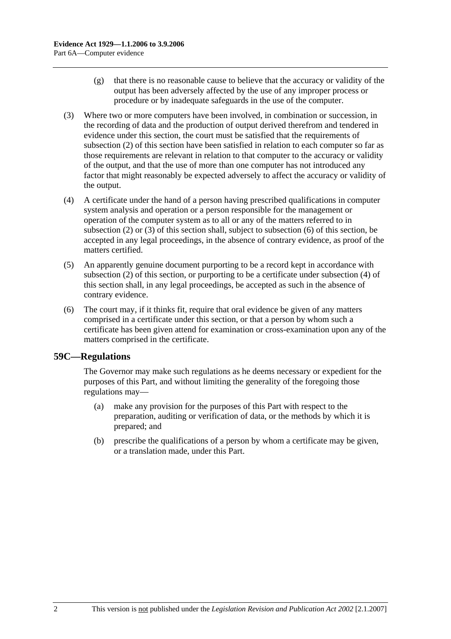- (g) that there is no reasonable cause to believe that the accuracy or validity of the output has been adversely affected by the use of any improper process or procedure or by inadequate safeguards in the use of the computer.
- (3) Where two or more computers have been involved, in combination or succession, in the recording of data and the production of output derived therefrom and tendered in evidence under this section, the court must be satisfied that the requirements of subsection (2) of this section have been satisfied in relation to each computer so far as those requirements are relevant in relation to that computer to the accuracy or validity of the output, and that the use of more than one computer has not introduced any factor that might reasonably be expected adversely to affect the accuracy or validity of the output.
- (4) A certificate under the hand of a person having prescribed qualifications in computer system analysis and operation or a person responsible for the management or operation of the computer system as to all or any of the matters referred to in subsection (2) or (3) of this section shall, subject to subsection (6) of this section, be accepted in any legal proceedings, in the absence of contrary evidence, as proof of the matters certified.
- (5) An apparently genuine document purporting to be a record kept in accordance with subsection (2) of this section, or purporting to be a certificate under subsection (4) of this section shall, in any legal proceedings, be accepted as such in the absence of contrary evidence.
- (6) The court may, if it thinks fit, require that oral evidence be given of any matters comprised in a certificate under this section, or that a person by whom such a certificate has been given attend for examination or cross-examination upon any of the matters comprised in the certificate.

#### **59C—Regulations**

The Governor may make such regulations as he deems necessary or expedient for the purposes of this Part, and without limiting the generality of the foregoing those regulations may—

- (a) make any provision for the purposes of this Part with respect to the preparation, auditing or verification of data, or the methods by which it is prepared; and
- (b) prescribe the qualifications of a person by whom a certificate may be given, or a translation made, under this Part.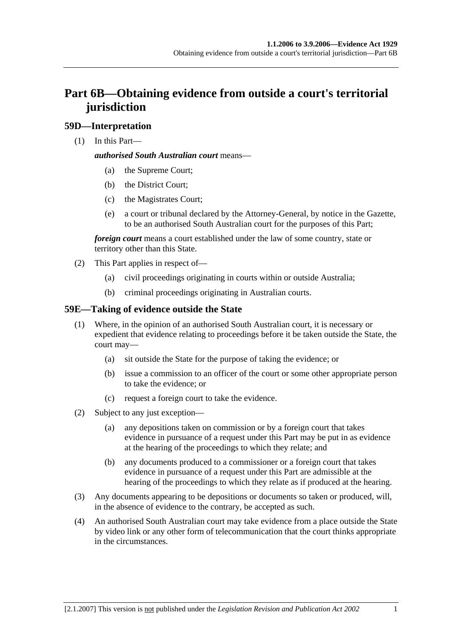## **Part 6B—Obtaining evidence from outside a court's territorial jurisdiction**

#### **59D—Interpretation**

(1) In this Part—

#### *authorised South Australian court* means—

- (a) the Supreme Court;
- (b) the District Court;
- (c) the Magistrates Court;
- (e) a court or tribunal declared by the Attorney-General, by notice in the Gazette, to be an authorised South Australian court for the purposes of this Part;

*foreign court* means a court established under the law of some country, state or territory other than this State.

- (2) This Part applies in respect of—
	- (a) civil proceedings originating in courts within or outside Australia;
	- (b) criminal proceedings originating in Australian courts.

#### **59E—Taking of evidence outside the State**

- (1) Where, in the opinion of an authorised South Australian court, it is necessary or expedient that evidence relating to proceedings before it be taken outside the State, the court may—
	- (a) sit outside the State for the purpose of taking the evidence; or
	- (b) issue a commission to an officer of the court or some other appropriate person to take the evidence; or
	- (c) request a foreign court to take the evidence.
- (2) Subject to any just exception—
	- (a) any depositions taken on commission or by a foreign court that takes evidence in pursuance of a request under this Part may be put in as evidence at the hearing of the proceedings to which they relate; and
	- (b) any documents produced to a commissioner or a foreign court that takes evidence in pursuance of a request under this Part are admissible at the hearing of the proceedings to which they relate as if produced at the hearing.
- (3) Any documents appearing to be depositions or documents so taken or produced, will, in the absence of evidence to the contrary, be accepted as such.
- (4) An authorised South Australian court may take evidence from a place outside the State by video link or any other form of telecommunication that the court thinks appropriate in the circumstances.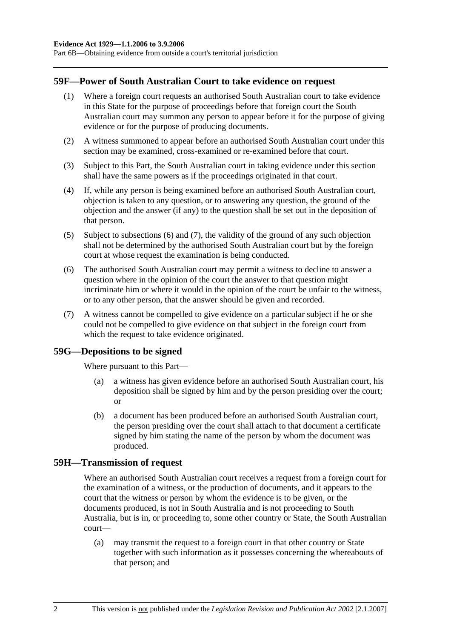Part 6B—Obtaining evidence from outside a court's territorial jurisdiction

#### **59F—Power of South Australian Court to take evidence on request**

- (1) Where a foreign court requests an authorised South Australian court to take evidence in this State for the purpose of proceedings before that foreign court the South Australian court may summon any person to appear before it for the purpose of giving evidence or for the purpose of producing documents.
- (2) A witness summoned to appear before an authorised South Australian court under this section may be examined, cross-examined or re-examined before that court.
- (3) Subject to this Part, the South Australian court in taking evidence under this section shall have the same powers as if the proceedings originated in that court.
- (4) If, while any person is being examined before an authorised South Australian court, objection is taken to any question, or to answering any question, the ground of the objection and the answer (if any) to the question shall be set out in the deposition of that person.
- (5) Subject to subsections (6) and (7), the validity of the ground of any such objection shall not be determined by the authorised South Australian court but by the foreign court at whose request the examination is being conducted.
- (6) The authorised South Australian court may permit a witness to decline to answer a question where in the opinion of the court the answer to that question might incriminate him or where it would in the opinion of the court be unfair to the witness, or to any other person, that the answer should be given and recorded.
- (7) A witness cannot be compelled to give evidence on a particular subject if he or she could not be compelled to give evidence on that subject in the foreign court from which the request to take evidence originated.

#### **59G—Depositions to be signed**

Where pursuant to this Part—

- (a) a witness has given evidence before an authorised South Australian court, his deposition shall be signed by him and by the person presiding over the court; or
- (b) a document has been produced before an authorised South Australian court, the person presiding over the court shall attach to that document a certificate signed by him stating the name of the person by whom the document was produced.

#### **59H—Transmission of request**

Where an authorised South Australian court receives a request from a foreign court for the examination of a witness, or the production of documents, and it appears to the court that the witness or person by whom the evidence is to be given, or the documents produced, is not in South Australia and is not proceeding to South Australia, but is in, or proceeding to, some other country or State, the South Australian court—

 (a) may transmit the request to a foreign court in that other country or State together with such information as it possesses concerning the whereabouts of that person; and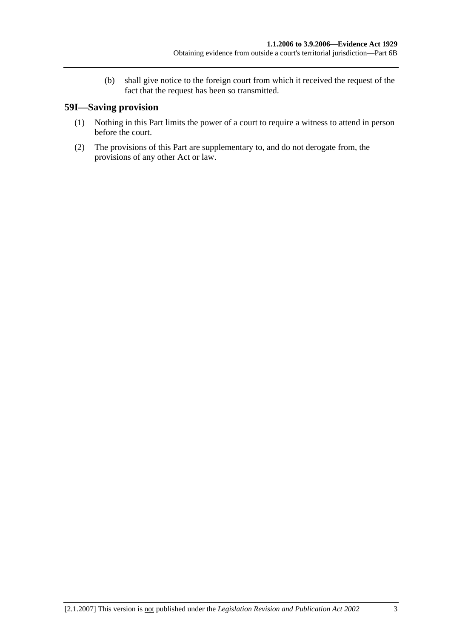(b) shall give notice to the foreign court from which it received the request of the fact that the request has been so transmitted.

## **59I—Saving provision**

- (1) Nothing in this Part limits the power of a court to require a witness to attend in person before the court.
- (2) The provisions of this Part are supplementary to, and do not derogate from, the provisions of any other Act or law.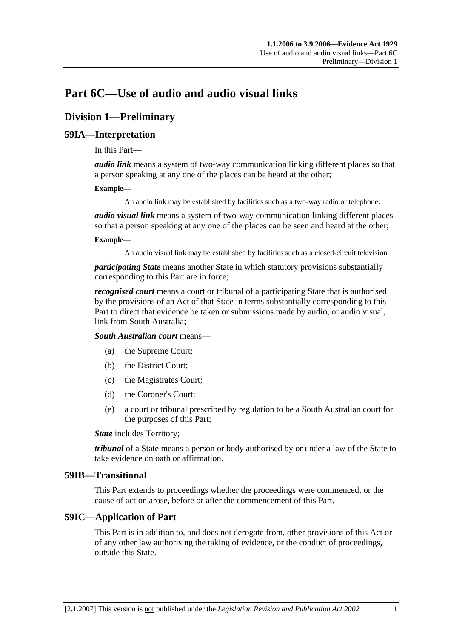## **Part 6C—Use of audio and audio visual links**

## **Division 1—Preliminary**

#### **59IA—Interpretation**

In this Part—

*audio link* means a system of two-way communication linking different places so that a person speaking at any one of the places can be heard at the other;

#### **Example—**

An audio link may be established by facilities such as a two-way radio or telephone.

*audio visual link* means a system of two-way communication linking different places so that a person speaking at any one of the places can be seen and heard at the other;

#### **Example—**

An audio visual link may be established by facilities such as a closed-circuit television.

*participating State* means another State in which statutory provisions substantially corresponding to this Part are in force;

*recognised court* means a court or tribunal of a participating State that is authorised by the provisions of an Act of that State in terms substantially corresponding to this Part to direct that evidence be taken or submissions made by audio, or audio visual, link from South Australia;

*South Australian court* means—

- (a) the Supreme Court;
- (b) the District Court;
- (c) the Magistrates Court;
- (d) the Coroner's Court;
- (e) a court or tribunal prescribed by regulation to be a South Australian court for the purposes of this Part;

*State* includes Territory;

*tribunal* of a State means a person or body authorised by or under a law of the State to take evidence on oath or affirmation.

#### **59IB—Transitional**

This Part extends to proceedings whether the proceedings were commenced, or the cause of action arose, before or after the commencement of this Part.

#### **59IC—Application of Part**

This Part is in addition to, and does not derogate from, other provisions of this Act or of any other law authorising the taking of evidence, or the conduct of proceedings, outside this State.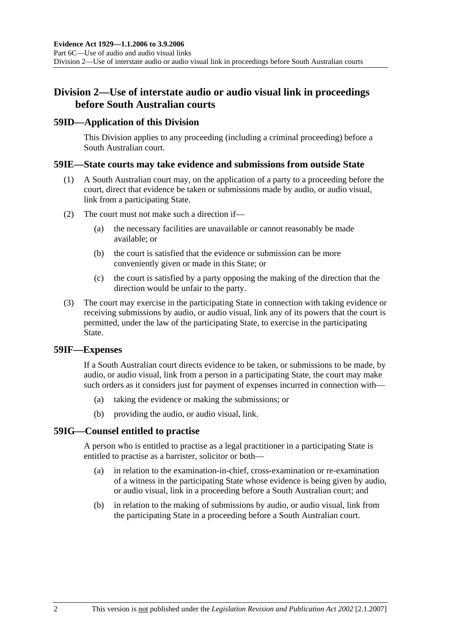## **Division 2—Use of interstate audio or audio visual link in proceedings before South Australian courts**

#### **59ID—Application of this Division**

This Division applies to any proceeding (including a criminal proceeding) before a South Australian court.

#### **59IE—State courts may take evidence and submissions from outside State**

- (1) A South Australian court may, on the application of a party to a proceeding before the court, direct that evidence be taken or submissions made by audio, or audio visual, link from a participating State.
- (2) The court must not make such a direction if—
	- (a) the necessary facilities are unavailable or cannot reasonably be made available; or
	- (b) the court is satisfied that the evidence or submission can be more conveniently given or made in this State; or
	- (c) the court is satisfied by a party opposing the making of the direction that the direction would be unfair to the party.
- (3) The court may exercise in the participating State in connection with taking evidence or receiving submissions by audio, or audio visual, link any of its powers that the court is permitted, under the law of the participating State, to exercise in the participating State.

#### **59IF—Expenses**

If a South Australian court directs evidence to be taken, or submissions to be made, by audio, or audio visual, link from a person in a participating State, the court may make such orders as it considers just for payment of expenses incurred in connection with—

- (a) taking the evidence or making the submissions; or
- (b) providing the audio, or audio visual, link.

#### **59IG—Counsel entitled to practise**

A person who is entitled to practise as a legal practitioner in a participating State is entitled to practise as a barrister, solicitor or both—

- (a) in relation to the examination-in-chief, cross-examination or re-examination of a witness in the participating State whose evidence is being given by audio, or audio visual, link in a proceeding before a South Australian court; and
- (b) in relation to the making of submissions by audio, or audio visual, link from the participating State in a proceeding before a South Australian court.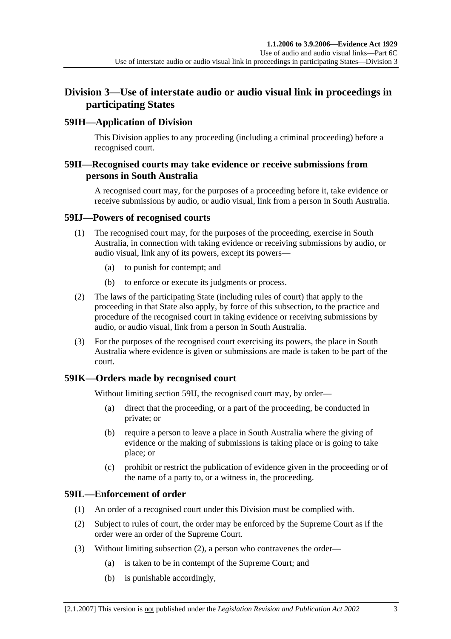## **Division 3—Use of interstate audio or audio visual link in proceedings in participating States**

#### **59IH—Application of Division**

This Division applies to any proceeding (including a criminal proceeding) before a recognised court.

#### **59II—Recognised courts may take evidence or receive submissions from persons in South Australia**

A recognised court may, for the purposes of a proceeding before it, take evidence or receive submissions by audio, or audio visual, link from a person in South Australia.

#### **59IJ—Powers of recognised courts**

- (1) The recognised court may, for the purposes of the proceeding, exercise in South Australia, in connection with taking evidence or receiving submissions by audio, or audio visual, link any of its powers, except its powers—
	- (a) to punish for contempt; and
	- (b) to enforce or execute its judgments or process.
- (2) The laws of the participating State (including rules of court) that apply to the proceeding in that State also apply, by force of this subsection, to the practice and procedure of the recognised court in taking evidence or receiving submissions by audio, or audio visual, link from a person in South Australia.
- (3) For the purposes of the recognised court exercising its powers, the place in South Australia where evidence is given or submissions are made is taken to be part of the court.

#### **59IK—Orders made by recognised court**

Without limiting section 59IJ, the recognised court may, by order—

- (a) direct that the proceeding, or a part of the proceeding, be conducted in private; or
- (b) require a person to leave a place in South Australia where the giving of evidence or the making of submissions is taking place or is going to take place; or
- (c) prohibit or restrict the publication of evidence given in the proceeding or of the name of a party to, or a witness in, the proceeding.

### **59IL—Enforcement of order**

- (1) An order of a recognised court under this Division must be complied with.
- (2) Subject to rules of court, the order may be enforced by the Supreme Court as if the order were an order of the Supreme Court.
- (3) Without limiting subsection (2), a person who contravenes the order—
	- (a) is taken to be in contempt of the Supreme Court; and
	- (b) is punishable accordingly,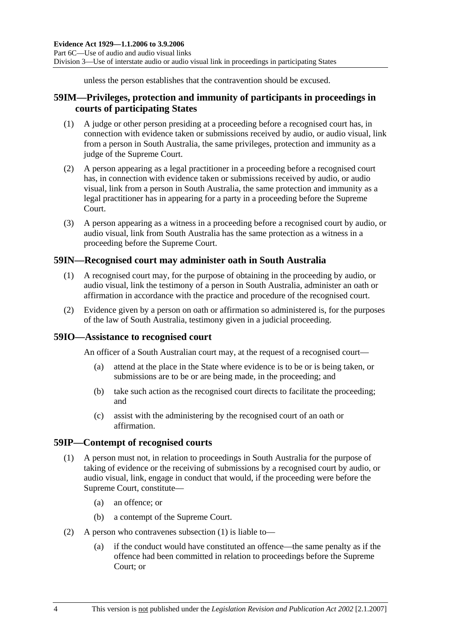unless the person establishes that the contravention should be excused.

#### **59IM—Privileges, protection and immunity of participants in proceedings in courts of participating States**

- (1) A judge or other person presiding at a proceeding before a recognised court has, in connection with evidence taken or submissions received by audio, or audio visual, link from a person in South Australia, the same privileges, protection and immunity as a judge of the Supreme Court.
- (2) A person appearing as a legal practitioner in a proceeding before a recognised court has, in connection with evidence taken or submissions received by audio, or audio visual, link from a person in South Australia, the same protection and immunity as a legal practitioner has in appearing for a party in a proceeding before the Supreme Court.
- (3) A person appearing as a witness in a proceeding before a recognised court by audio, or audio visual, link from South Australia has the same protection as a witness in a proceeding before the Supreme Court.

#### **59IN—Recognised court may administer oath in South Australia**

- (1) A recognised court may, for the purpose of obtaining in the proceeding by audio, or audio visual, link the testimony of a person in South Australia, administer an oath or affirmation in accordance with the practice and procedure of the recognised court.
- (2) Evidence given by a person on oath or affirmation so administered is, for the purposes of the law of South Australia, testimony given in a judicial proceeding.

#### **59IO—Assistance to recognised court**

An officer of a South Australian court may, at the request of a recognised court—

- (a) attend at the place in the State where evidence is to be or is being taken, or submissions are to be or are being made, in the proceeding; and
- (b) take such action as the recognised court directs to facilitate the proceeding; and
- (c) assist with the administering by the recognised court of an oath or affirmation.

#### **59IP—Contempt of recognised courts**

- (1) A person must not, in relation to proceedings in South Australia for the purpose of taking of evidence or the receiving of submissions by a recognised court by audio, or audio visual, link, engage in conduct that would, if the proceeding were before the Supreme Court, constitute—
	- (a) an offence; or
	- (b) a contempt of the Supreme Court.
- (2) A person who contravenes subsection (1) is liable to—
	- (a) if the conduct would have constituted an offence—the same penalty as if the offence had been committed in relation to proceedings before the Supreme Court; or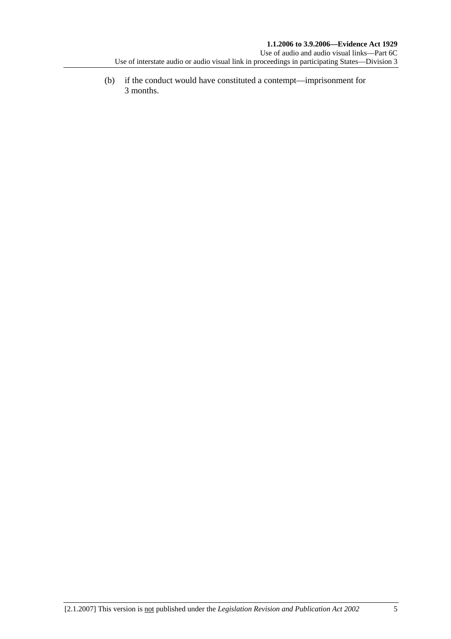(b) if the conduct would have constituted a contempt—imprisonment for 3 months.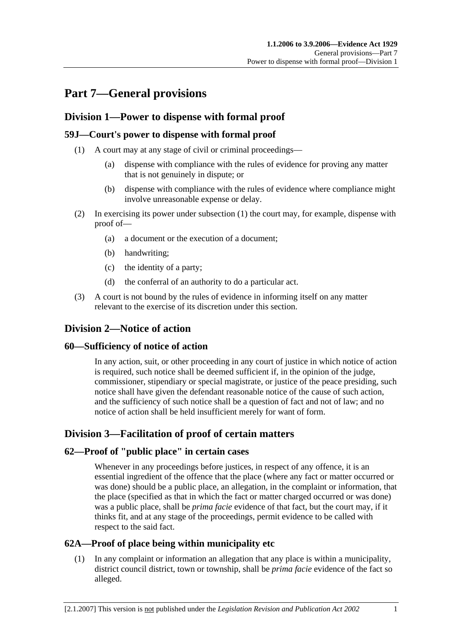## **Part 7—General provisions**

### **Division 1—Power to dispense with formal proof**

#### **59J—Court's power to dispense with formal proof**

- (1) A court may at any stage of civil or criminal proceedings—
	- (a) dispense with compliance with the rules of evidence for proving any matter that is not genuinely in dispute; or
	- (b) dispense with compliance with the rules of evidence where compliance might involve unreasonable expense or delay.
- (2) In exercising its power under subsection (1) the court may, for example, dispense with proof of—
	- (a) a document or the execution of a document;
	- (b) handwriting;
	- (c) the identity of a party;
	- (d) the conferral of an authority to do a particular act.
- (3) A court is not bound by the rules of evidence in informing itself on any matter relevant to the exercise of its discretion under this section.

## **Division 2—Notice of action**

#### **60—Sufficiency of notice of action**

In any action, suit, or other proceeding in any court of justice in which notice of action is required, such notice shall be deemed sufficient if, in the opinion of the judge, commissioner, stipendiary or special magistrate, or justice of the peace presiding, such notice shall have given the defendant reasonable notice of the cause of such action, and the sufficiency of such notice shall be a question of fact and not of law; and no notice of action shall be held insufficient merely for want of form.

## **Division 3—Facilitation of proof of certain matters**

#### **62—Proof of "public place" in certain cases**

Whenever in any proceedings before justices, in respect of any offence, it is an essential ingredient of the offence that the place (where any fact or matter occurred or was done) should be a public place, an allegation, in the complaint or information, that the place (specified as that in which the fact or matter charged occurred or was done) was a public place, shall be *prima facie* evidence of that fact, but the court may, if it thinks fit, and at any stage of the proceedings, permit evidence to be called with respect to the said fact.

### **62A—Proof of place being within municipality etc**

 (1) In any complaint or information an allegation that any place is within a municipality, district council district, town or township, shall be *prima facie* evidence of the fact so alleged.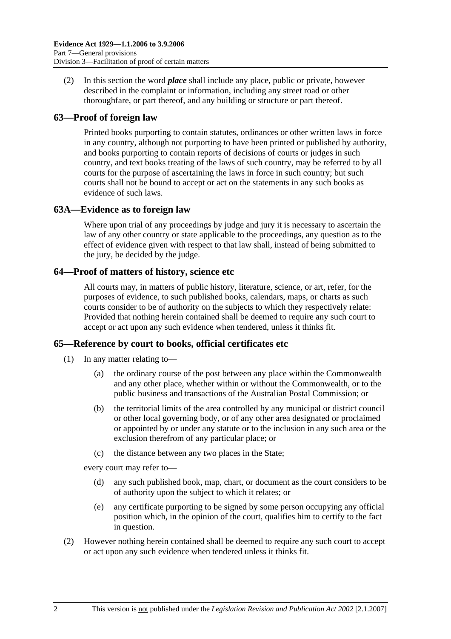(2) In this section the word *place* shall include any place, public or private, however described in the complaint or information, including any street road or other thoroughfare, or part thereof, and any building or structure or part thereof.

#### **63—Proof of foreign law**

Printed books purporting to contain statutes, ordinances or other written laws in force in any country, although not purporting to have been printed or published by authority, and books purporting to contain reports of decisions of courts or judges in such country, and text books treating of the laws of such country, may be referred to by all courts for the purpose of ascertaining the laws in force in such country; but such courts shall not be bound to accept or act on the statements in any such books as evidence of such laws.

#### **63A—Evidence as to foreign law**

Where upon trial of any proceedings by judge and jury it is necessary to ascertain the law of any other country or state applicable to the proceedings, any question as to the effect of evidence given with respect to that law shall, instead of being submitted to the jury, be decided by the judge.

#### **64—Proof of matters of history, science etc**

All courts may, in matters of public history, literature, science, or art, refer, for the purposes of evidence, to such published books, calendars, maps, or charts as such courts consider to be of authority on the subjects to which they respectively relate: Provided that nothing herein contained shall be deemed to require any such court to accept or act upon any such evidence when tendered, unless it thinks fit.

#### **65—Reference by court to books, official certificates etc**

- (1) In any matter relating to—
	- (a) the ordinary course of the post between any place within the Commonwealth and any other place, whether within or without the Commonwealth, or to the public business and transactions of the Australian Postal Commission; or
	- (b) the territorial limits of the area controlled by any municipal or district council or other local governing body, or of any other area designated or proclaimed or appointed by or under any statute or to the inclusion in any such area or the exclusion therefrom of any particular place; or
	- (c) the distance between any two places in the State;

every court may refer to—

- (d) any such published book, map, chart, or document as the court considers to be of authority upon the subject to which it relates; or
- (e) any certificate purporting to be signed by some person occupying any official position which, in the opinion of the court, qualifies him to certify to the fact in question.
- (2) However nothing herein contained shall be deemed to require any such court to accept or act upon any such evidence when tendered unless it thinks fit.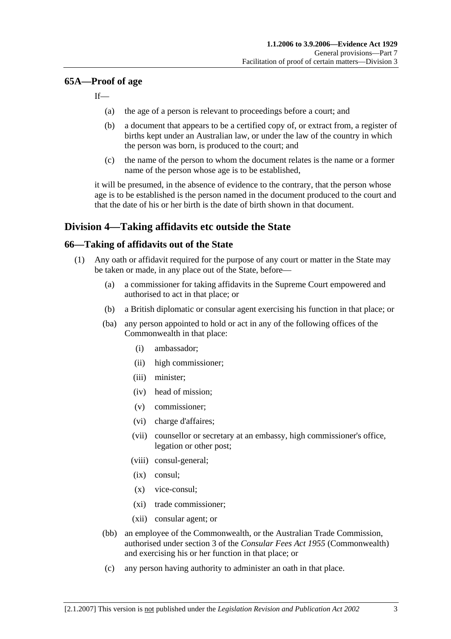#### **65A—Proof of age**

 $If$ 

- (a) the age of a person is relevant to proceedings before a court; and
- (b) a document that appears to be a certified copy of, or extract from, a register of births kept under an Australian law, or under the law of the country in which the person was born, is produced to the court; and
- (c) the name of the person to whom the document relates is the name or a former name of the person whose age is to be established,

it will be presumed, in the absence of evidence to the contrary, that the person whose age is to be established is the person named in the document produced to the court and that the date of his or her birth is the date of birth shown in that document.

## **Division 4—Taking affidavits etc outside the State**

#### **66—Taking of affidavits out of the State**

- (1) Any oath or affidavit required for the purpose of any court or matter in the State may be taken or made, in any place out of the State, before—
	- (a) a commissioner for taking affidavits in the Supreme Court empowered and authorised to act in that place; or
	- (b) a British diplomatic or consular agent exercising his function in that place; or
	- (ba) any person appointed to hold or act in any of the following offices of the Commonwealth in that place:
		- (i) ambassador;
		- (ii) high commissioner;
		- (iii) minister;
		- (iv) head of mission;
		- (v) commissioner;
		- (vi) charge d'affaires;
		- (vii) counsellor or secretary at an embassy, high commissioner's office, legation or other post;
		- (viii) consul-general;
		- (ix) consul;
		- (x) vice-consul;
		- (xi) trade commissioner;
		- (xii) consular agent; or
	- (bb) an employee of the Commonwealth, or the Australian Trade Commission, authorised under section 3 of the *Consular Fees Act 1955* (Commonwealth) and exercising his or her function in that place; or
	- (c) any person having authority to administer an oath in that place.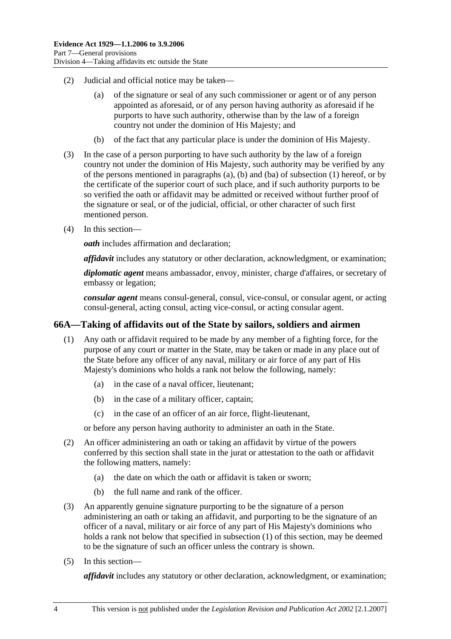- (2) Judicial and official notice may be taken—
	- (a) of the signature or seal of any such commissioner or agent or of any person appointed as aforesaid, or of any person having authority as aforesaid if he purports to have such authority, otherwise than by the law of a foreign country not under the dominion of His Majesty; and
	- (b) of the fact that any particular place is under the dominion of His Majesty.
- (3) In the case of a person purporting to have such authority by the law of a foreign country not under the dominion of His Majesty, such authority may be verified by any of the persons mentioned in paragraphs (a), (b) and (ba) of subsection (1) hereof, or by the certificate of the superior court of such place, and if such authority purports to be so verified the oath or affidavit may be admitted or received without further proof of the signature or seal, or of the judicial, official, or other character of such first mentioned person.
- (4) In this section—

*oath* includes affirmation and declaration;

*affidavit* includes any statutory or other declaration, acknowledgment, or examination;

*diplomatic agent* means ambassador, envoy, minister, charge d'affaires, or secretary of embassy or legation;

*consular agent* means consul-general, consul, vice-consul, or consular agent, or acting consul-general, acting consul, acting vice-consul, or acting consular agent.

#### **66A—Taking of affidavits out of the State by sailors, soldiers and airmen**

- (1) Any oath or affidavit required to be made by any member of a fighting force, for the purpose of any court or matter in the State, may be taken or made in any place out of the State before any officer of any naval, military or air force of any part of His Majesty's dominions who holds a rank not below the following, namely:
	- (a) in the case of a naval officer, lieutenant;
	- (b) in the case of a military officer, captain;
	- (c) in the case of an officer of an air force, flight-lieutenant,

or before any person having authority to administer an oath in the State.

- (2) An officer administering an oath or taking an affidavit by virtue of the powers conferred by this section shall state in the jurat or attestation to the oath or affidavit the following matters, namely:
	- (a) the date on which the oath or affidavit is taken or sworn;
	- (b) the full name and rank of the officer.
- (3) An apparently genuine signature purporting to be the signature of a person administering an oath or taking an affidavit, and purporting to be the signature of an officer of a naval, military or air force of any part of His Majesty's dominions who holds a rank not below that specified in subsection (1) of this section, may be deemed to be the signature of such an officer unless the contrary is shown.
- (5) In this section—

*affidavit* includes any statutory or other declaration, acknowledgment, or examination;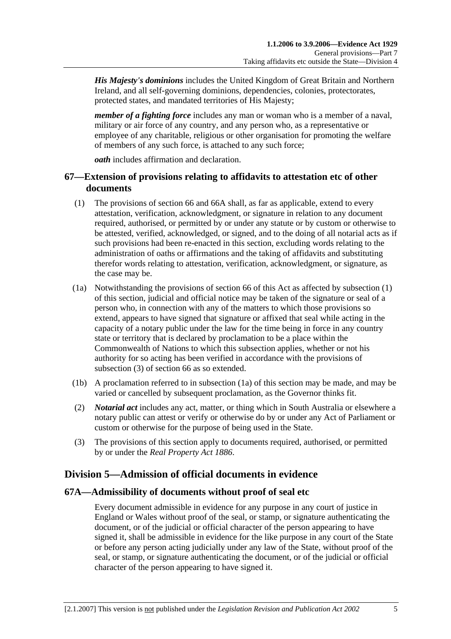*His Majesty's dominions* includes the United Kingdom of Great Britain and Northern Ireland, and all self-governing dominions, dependencies, colonies, protectorates, protected states, and mandated territories of His Majesty;

*member of a fighting force* includes any man or woman who is a member of a naval, military or air force of any country, and any person who, as a representative or employee of any charitable, religious or other organisation for promoting the welfare of members of any such force, is attached to any such force;

*oath* includes affirmation and declaration.

### **67—Extension of provisions relating to affidavits to attestation etc of other documents**

- (1) The provisions of section 66 and 66A shall, as far as applicable, extend to every attestation, verification, acknowledgment, or signature in relation to any document required, authorised, or permitted by or under any statute or by custom or otherwise to be attested, verified, acknowledged, or signed, and to the doing of all notarial acts as if such provisions had been re-enacted in this section, excluding words relating to the administration of oaths or affirmations and the taking of affidavits and substituting therefor words relating to attestation, verification, acknowledgment, or signature, as the case may be.
- (1a) Notwithstanding the provisions of section 66 of this Act as affected by subsection (1) of this section, judicial and official notice may be taken of the signature or seal of a person who, in connection with any of the matters to which those provisions so extend, appears to have signed that signature or affixed that seal while acting in the capacity of a notary public under the law for the time being in force in any country state or territory that is declared by proclamation to be a place within the Commonwealth of Nations to which this subsection applies, whether or not his authority for so acting has been verified in accordance with the provisions of subsection (3) of section 66 as so extended.
- (1b) A proclamation referred to in subsection (1a) of this section may be made, and may be varied or cancelled by subsequent proclamation, as the Governor thinks fit.
- (2) *Notarial act* includes any act, matter, or thing which in South Australia or elsewhere a notary public can attest or verify or otherwise do by or under any Act of Parliament or custom or otherwise for the purpose of being used in the State.
- (3) The provisions of this section apply to documents required, authorised, or permitted by or under the *Real Property Act 1886*.

## **Division 5—Admission of official documents in evidence**

#### **67A—Admissibility of documents without proof of seal etc**

Every document admissible in evidence for any purpose in any court of justice in England or Wales without proof of the seal, or stamp, or signature authenticating the document, or of the judicial or official character of the person appearing to have signed it, shall be admissible in evidence for the like purpose in any court of the State or before any person acting judicially under any law of the State, without proof of the seal, or stamp, or signature authenticating the document, or of the judicial or official character of the person appearing to have signed it.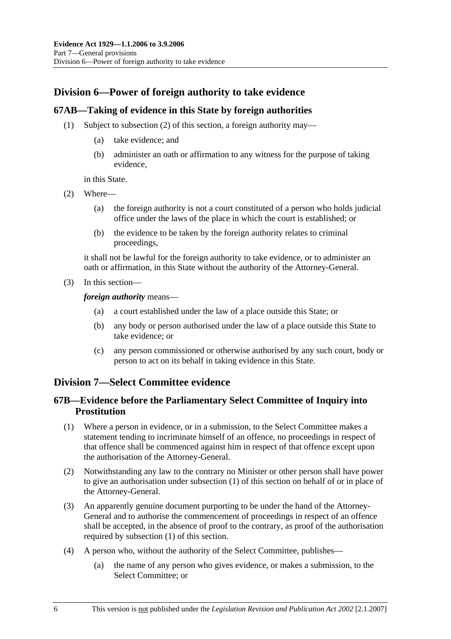## **Division 6—Power of foreign authority to take evidence**

#### **67AB—Taking of evidence in this State by foreign authorities**

- (1) Subject to subsection (2) of this section, a foreign authority may—
	- (a) take evidence; and
	- (b) administer an oath or affirmation to any witness for the purpose of taking evidence,

in this State.

- (2) Where—
	- (a) the foreign authority is not a court constituted of a person who holds judicial office under the laws of the place in which the court is established; or
	- (b) the evidence to be taken by the foreign authority relates to criminal proceedings,

it shall not be lawful for the foreign authority to take evidence, or to administer an oath or affirmation, in this State without the authority of the Attorney-General.

(3) In this section—

*foreign authority* means—

- (a) a court established under the law of a place outside this State; or
- (b) any body or person authorised under the law of a place outside this State to take evidence; or
- (c) any person commissioned or otherwise authorised by any such court, body or person to act on its behalf in taking evidence in this State.

### **Division 7—Select Committee evidence**

#### **67B—Evidence before the Parliamentary Select Committee of Inquiry into Prostitution**

- (1) Where a person in evidence, or in a submission, to the Select Committee makes a statement tending to incriminate himself of an offence, no proceedings in respect of that offence shall be commenced against him in respect of that offence except upon the authorisation of the Attorney-General.
- (2) Notwithstanding any law to the contrary no Minister or other person shall have power to give an authorisation under subsection (1) of this section on behalf of or in place of the Attorney-General.
- (3) An apparently genuine document purporting to be under the hand of the Attorney-General and to authorise the commencement of proceedings in respect of an offence shall be accepted, in the absence of proof to the contrary, as proof of the authorisation required by subsection (1) of this section.
- (4) A person who, without the authority of the Select Committee, publishes—
	- (a) the name of any person who gives evidence, or makes a submission, to the Select Committee; or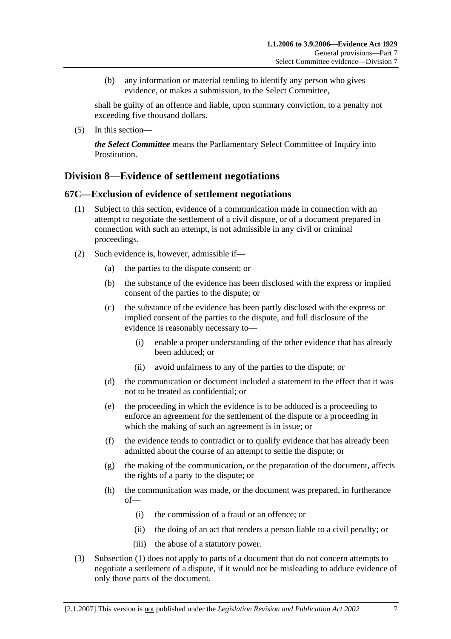(b) any information or material tending to identify any person who gives evidence, or makes a submission, to the Select Committee,

shall be guilty of an offence and liable, upon summary conviction, to a penalty not exceeding five thousand dollars.

(5) In this section—

*the Select Committee* means the Parliamentary Select Committee of Inquiry into Prostitution.

## **Division 8—Evidence of settlement negotiations**

#### **67C—Exclusion of evidence of settlement negotiations**

- (1) Subject to this section, evidence of a communication made in connection with an attempt to negotiate the settlement of a civil dispute, or of a document prepared in connection with such an attempt, is not admissible in any civil or criminal proceedings.
- (2) Such evidence is, however, admissible if—
	- (a) the parties to the dispute consent; or
	- (b) the substance of the evidence has been disclosed with the express or implied consent of the parties to the dispute; or
	- (c) the substance of the evidence has been partly disclosed with the express or implied consent of the parties to the dispute, and full disclosure of the evidence is reasonably necessary to—
		- (i) enable a proper understanding of the other evidence that has already been adduced; or
		- (ii) avoid unfairness to any of the parties to the dispute; or
	- (d) the communication or document included a statement to the effect that it was not to be treated as confidential; or
	- (e) the proceeding in which the evidence is to be adduced is a proceeding to enforce an agreement for the settlement of the dispute or a proceeding in which the making of such an agreement is in issue; or
	- (f) the evidence tends to contradict or to qualify evidence that has already been admitted about the course of an attempt to settle the dispute; or
	- (g) the making of the communication, or the preparation of the document, affects the rights of a party to the dispute; or
	- (h) the communication was made, or the document was prepared, in furtherance of—
		- (i) the commission of a fraud or an offence; or
		- (ii) the doing of an act that renders a person liable to a civil penalty; or
		- (iii) the abuse of a statutory power.
- (3) Subsection (1) does not apply to parts of a document that do not concern attempts to negotiate a settlement of a dispute, if it would not be misleading to adduce evidence of only those parts of the document.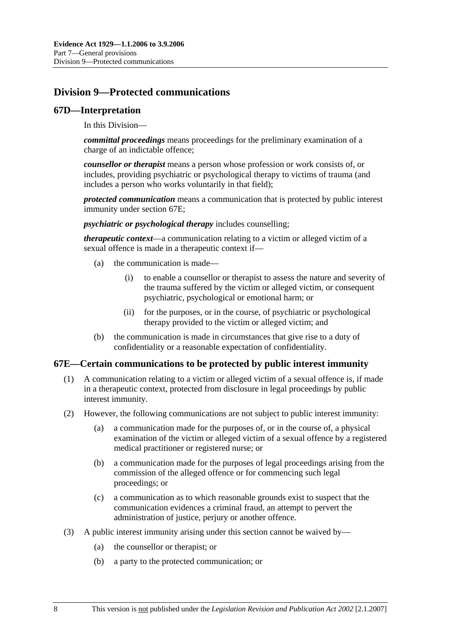## **Division 9—Protected communications**

#### **67D—Interpretation**

In this Division—

*committal proceedings* means proceedings for the preliminary examination of a charge of an indictable offence;

*counsellor or therapist* means a person whose profession or work consists of, or includes, providing psychiatric or psychological therapy to victims of trauma (and includes a person who works voluntarily in that field);

*protected communication* means a communication that is protected by public interest immunity under section 67E;

*psychiatric or psychological therapy* includes counselling;

*therapeutic context*—a communication relating to a victim or alleged victim of a sexual offence is made in a therapeutic context if—

- (a) the communication is made—
	- (i) to enable a counsellor or therapist to assess the nature and severity of the trauma suffered by the victim or alleged victim, or consequent psychiatric, psychological or emotional harm; or
	- (ii) for the purposes, or in the course, of psychiatric or psychological therapy provided to the victim or alleged victim; and
- (b) the communication is made in circumstances that give rise to a duty of confidentiality or a reasonable expectation of confidentiality.

#### **67E—Certain communications to be protected by public interest immunity**

- (1) A communication relating to a victim or alleged victim of a sexual offence is, if made in a therapeutic context, protected from disclosure in legal proceedings by public interest immunity.
- (2) However, the following communications are not subject to public interest immunity:
	- (a) a communication made for the purposes of, or in the course of, a physical examination of the victim or alleged victim of a sexual offence by a registered medical practitioner or registered nurse; or
	- (b) a communication made for the purposes of legal proceedings arising from the commission of the alleged offence or for commencing such legal proceedings; or
	- (c) a communication as to which reasonable grounds exist to suspect that the communication evidences a criminal fraud, an attempt to pervert the administration of justice, perjury or another offence.
- (3) A public interest immunity arising under this section cannot be waived by—
	- (a) the counsellor or therapist; or
	- (b) a party to the protected communication; or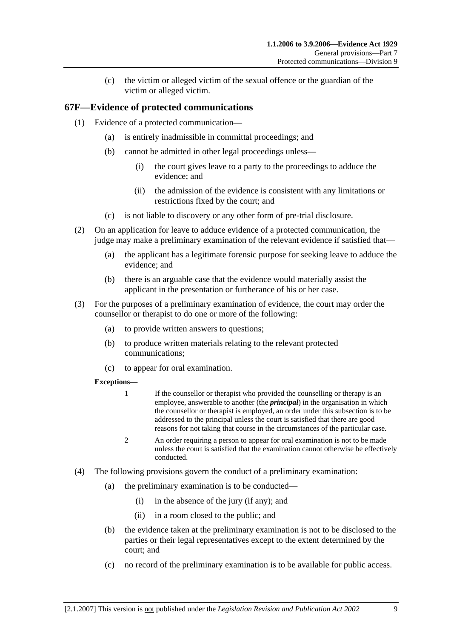(c) the victim or alleged victim of the sexual offence or the guardian of the victim or alleged victim.

#### **67F—Evidence of protected communications**

- (1) Evidence of a protected communication—
	- (a) is entirely inadmissible in committal proceedings; and
	- (b) cannot be admitted in other legal proceedings unless—
		- (i) the court gives leave to a party to the proceedings to adduce the evidence; and
		- (ii) the admission of the evidence is consistent with any limitations or restrictions fixed by the court; and
	- (c) is not liable to discovery or any other form of pre-trial disclosure.
- (2) On an application for leave to adduce evidence of a protected communication, the judge may make a preliminary examination of the relevant evidence if satisfied that—
	- (a) the applicant has a legitimate forensic purpose for seeking leave to adduce the evidence; and
	- (b) there is an arguable case that the evidence would materially assist the applicant in the presentation or furtherance of his or her case.
- (3) For the purposes of a preliminary examination of evidence, the court may order the counsellor or therapist to do one or more of the following:
	- (a) to provide written answers to questions;
	- (b) to produce written materials relating to the relevant protected communications;
	- (c) to appear for oral examination.

#### **Exceptions—**

- 1 If the counsellor or therapist who provided the counselling or therapy is an employee, answerable to another (the *principal*) in the organisation in which the counsellor or therapist is employed, an order under this subsection is to be addressed to the principal unless the court is satisfied that there are good reasons for not taking that course in the circumstances of the particular case.
- 2 An order requiring a person to appear for oral examination is not to be made unless the court is satisfied that the examination cannot otherwise be effectively conducted.
- (4) The following provisions govern the conduct of a preliminary examination:
	- (a) the preliminary examination is to be conducted—
		- (i) in the absence of the jury (if any); and
		- (ii) in a room closed to the public; and
	- (b) the evidence taken at the preliminary examination is not to be disclosed to the parties or their legal representatives except to the extent determined by the court; and
	- (c) no record of the preliminary examination is to be available for public access.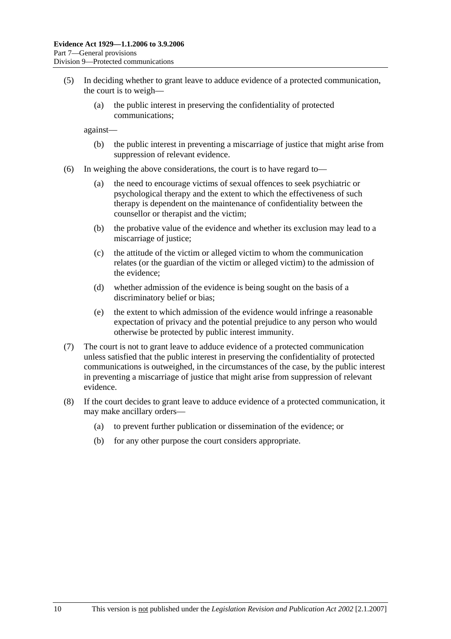- (5) In deciding whether to grant leave to adduce evidence of a protected communication, the court is to weigh—
	- (a) the public interest in preserving the confidentiality of protected communications;

against—

- (b) the public interest in preventing a miscarriage of justice that might arise from suppression of relevant evidence.
- (6) In weighing the above considerations, the court is to have regard to—
	- (a) the need to encourage victims of sexual offences to seek psychiatric or psychological therapy and the extent to which the effectiveness of such therapy is dependent on the maintenance of confidentiality between the counsellor or therapist and the victim;
	- (b) the probative value of the evidence and whether its exclusion may lead to a miscarriage of justice;
	- (c) the attitude of the victim or alleged victim to whom the communication relates (or the guardian of the victim or alleged victim) to the admission of the evidence;
	- (d) whether admission of the evidence is being sought on the basis of a discriminatory belief or bias;
	- (e) the extent to which admission of the evidence would infringe a reasonable expectation of privacy and the potential prejudice to any person who would otherwise be protected by public interest immunity.
- (7) The court is not to grant leave to adduce evidence of a protected communication unless satisfied that the public interest in preserving the confidentiality of protected communications is outweighed, in the circumstances of the case, by the public interest in preventing a miscarriage of justice that might arise from suppression of relevant evidence.
- (8) If the court decides to grant leave to adduce evidence of a protected communication, it may make ancillary orders—
	- (a) to prevent further publication or dissemination of the evidence; or
	- (b) for any other purpose the court considers appropriate.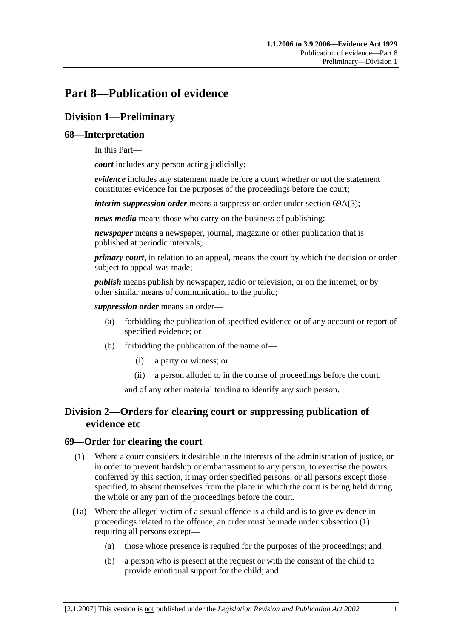## **Part 8—Publication of evidence**

## **Division 1—Preliminary**

#### **68—Interpretation**

In this Part—

*court* includes any person acting judicially;

*evidence* includes any statement made before a court whether or not the statement constitutes evidence for the purposes of the proceedings before the court;

*interim suppression order* means a suppression order under section 69A(3);

*news media* means those who carry on the business of publishing;

*newspaper* means a newspaper, journal, magazine or other publication that is published at periodic intervals;

*primary court*, in relation to an appeal, means the court by which the decision or order subject to appeal was made;

*publish* means publish by newspaper, radio or television, or on the internet, or by other similar means of communication to the public;

*suppression order* means an order—

- (a) forbidding the publication of specified evidence or of any account or report of specified evidence; or
- (b) forbidding the publication of the name of—
	- (i) a party or witness; or
	- (ii) a person alluded to in the course of proceedings before the court,

and of any other material tending to identify any such person.

## **Division 2—Orders for clearing court or suppressing publication of evidence etc**

#### **69—Order for clearing the court**

- (1) Where a court considers it desirable in the interests of the administration of justice, or in order to prevent hardship or embarrassment to any person, to exercise the powers conferred by this section, it may order specified persons, or all persons except those specified, to absent themselves from the place in which the court is being held during the whole or any part of the proceedings before the court.
- (1a) Where the alleged victim of a sexual offence is a child and is to give evidence in proceedings related to the offence, an order must be made under subsection (1) requiring all persons except—
	- (a) those whose presence is required for the purposes of the proceedings; and
	- (b) a person who is present at the request or with the consent of the child to provide emotional support for the child; and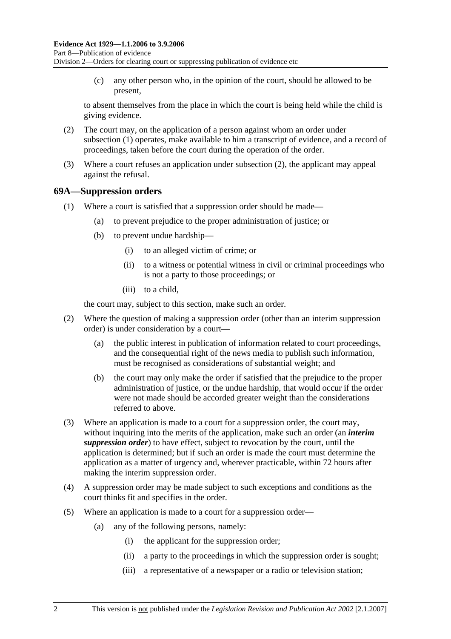(c) any other person who, in the opinion of the court, should be allowed to be present,

to absent themselves from the place in which the court is being held while the child is giving evidence.

- (2) The court may, on the application of a person against whom an order under subsection (1) operates, make available to him a transcript of evidence, and a record of proceedings, taken before the court during the operation of the order.
- (3) Where a court refuses an application under subsection (2), the applicant may appeal against the refusal.

#### **69A—Suppression orders**

- (1) Where a court is satisfied that a suppression order should be made—
	- (a) to prevent prejudice to the proper administration of justice; or
	- (b) to prevent undue hardship—
		- (i) to an alleged victim of crime; or
		- (ii) to a witness or potential witness in civil or criminal proceedings who is not a party to those proceedings; or
		- (iii) to a child,

the court may, subject to this section, make such an order.

- (2) Where the question of making a suppression order (other than an interim suppression order) is under consideration by a court—
	- (a) the public interest in publication of information related to court proceedings, and the consequential right of the news media to publish such information, must be recognised as considerations of substantial weight; and
	- (b) the court may only make the order if satisfied that the prejudice to the proper administration of justice, or the undue hardship, that would occur if the order were not made should be accorded greater weight than the considerations referred to above.
- (3) Where an application is made to a court for a suppression order, the court may, without inquiring into the merits of the application, make such an order (an *interim suppression order*) to have effect, subject to revocation by the court, until the application is determined; but if such an order is made the court must determine the application as a matter of urgency and, wherever practicable, within 72 hours after making the interim suppression order.
- (4) A suppression order may be made subject to such exceptions and conditions as the court thinks fit and specifies in the order.
- (5) Where an application is made to a court for a suppression order—
	- (a) any of the following persons, namely:
		- (i) the applicant for the suppression order;
		- (ii) a party to the proceedings in which the suppression order is sought;
		- (iii) a representative of a newspaper or a radio or television station;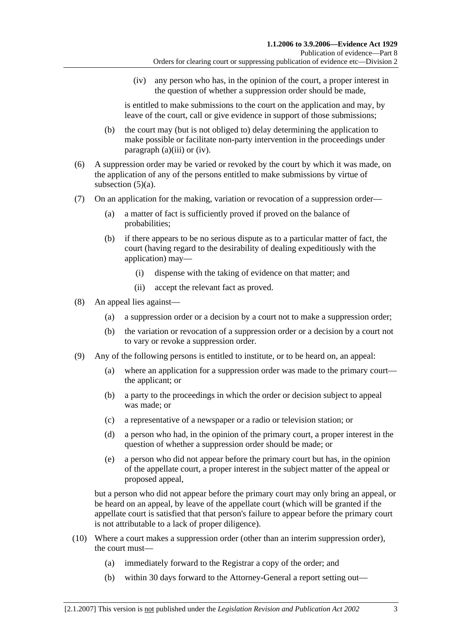(iv) any person who has, in the opinion of the court, a proper interest in the question of whether a suppression order should be made,

is entitled to make submissions to the court on the application and may, by leave of the court, call or give evidence in support of those submissions;

- (b) the court may (but is not obliged to) delay determining the application to make possible or facilitate non-party intervention in the proceedings under paragraph  $(a)(iii)$  or  $(iv)$ .
- (6) A suppression order may be varied or revoked by the court by which it was made, on the application of any of the persons entitled to make submissions by virtue of subsection  $(5)(a)$ .
- (7) On an application for the making, variation or revocation of a suppression order—
	- (a) a matter of fact is sufficiently proved if proved on the balance of probabilities;
	- (b) if there appears to be no serious dispute as to a particular matter of fact, the court (having regard to the desirability of dealing expeditiously with the application) may—
		- (i) dispense with the taking of evidence on that matter; and
		- (ii) accept the relevant fact as proved.
- (8) An appeal lies against—
	- (a) a suppression order or a decision by a court not to make a suppression order;
	- (b) the variation or revocation of a suppression order or a decision by a court not to vary or revoke a suppression order.
- (9) Any of the following persons is entitled to institute, or to be heard on, an appeal:
	- (a) where an application for a suppression order was made to the primary court the applicant; or
	- (b) a party to the proceedings in which the order or decision subject to appeal was made; or
	- (c) a representative of a newspaper or a radio or television station; or
	- (d) a person who had, in the opinion of the primary court, a proper interest in the question of whether a suppression order should be made; or
	- (e) a person who did not appear before the primary court but has, in the opinion of the appellate court, a proper interest in the subject matter of the appeal or proposed appeal,

but a person who did not appear before the primary court may only bring an appeal, or be heard on an appeal, by leave of the appellate court (which will be granted if the appellate court is satisfied that that person's failure to appear before the primary court is not attributable to a lack of proper diligence).

- (10) Where a court makes a suppression order (other than an interim suppression order), the court must—
	- (a) immediately forward to the Registrar a copy of the order; and
	- (b) within 30 days forward to the Attorney-General a report setting out—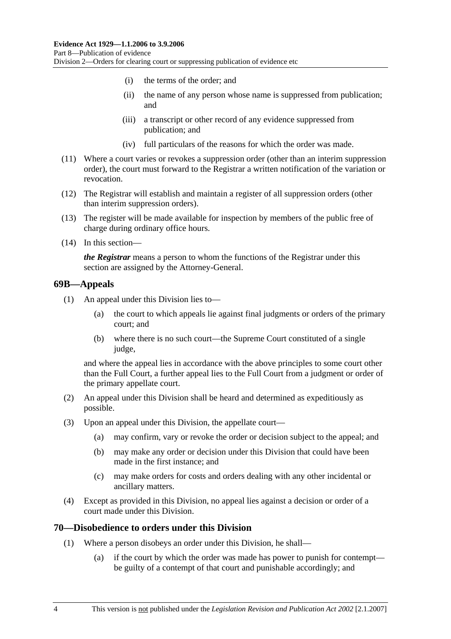- (i) the terms of the order; and
- (ii) the name of any person whose name is suppressed from publication; and
- (iii) a transcript or other record of any evidence suppressed from publication; and
- (iv) full particulars of the reasons for which the order was made.
- (11) Where a court varies or revokes a suppression order (other than an interim suppression order), the court must forward to the Registrar a written notification of the variation or revocation.
- (12) The Registrar will establish and maintain a register of all suppression orders (other than interim suppression orders).
- (13) The register will be made available for inspection by members of the public free of charge during ordinary office hours.
- (14) In this section—

*the Registrar* means a person to whom the functions of the Registrar under this section are assigned by the Attorney-General.

#### **69B—Appeals**

- (1) An appeal under this Division lies to—
	- (a) the court to which appeals lie against final judgments or orders of the primary court; and
	- (b) where there is no such court—the Supreme Court constituted of a single judge,

and where the appeal lies in accordance with the above principles to some court other than the Full Court, a further appeal lies to the Full Court from a judgment or order of the primary appellate court.

- (2) An appeal under this Division shall be heard and determined as expeditiously as possible.
- (3) Upon an appeal under this Division, the appellate court—
	- (a) may confirm, vary or revoke the order or decision subject to the appeal; and
	- (b) may make any order or decision under this Division that could have been made in the first instance; and
	- (c) may make orders for costs and orders dealing with any other incidental or ancillary matters.
- (4) Except as provided in this Division, no appeal lies against a decision or order of a court made under this Division.

#### **70—Disobedience to orders under this Division**

- (1) Where a person disobeys an order under this Division, he shall—
	- (a) if the court by which the order was made has power to punish for contempt be guilty of a contempt of that court and punishable accordingly; and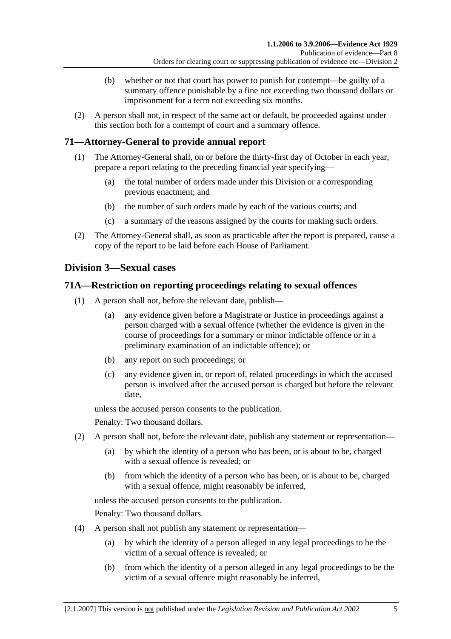- (b) whether or not that court has power to punish for contempt—be guilty of a summary offence punishable by a fine not exceeding two thousand dollars or imprisonment for a term not exceeding six months.
- (2) A person shall not, in respect of the same act or default, be proceeded against under this section both for a contempt of court and a summary offence.

#### **71—Attorney-General to provide annual report**

- (1) The Attorney-General shall, on or before the thirty-first day of October in each year, prepare a report relating to the preceding financial year specifying—
	- (a) the total number of orders made under this Division or a corresponding previous enactment; and
	- (b) the number of such orders made by each of the various courts; and
	- (c) a summary of the reasons assigned by the courts for making such orders.
- (2) The Attorney-General shall, as soon as practicable after the report is prepared, cause a copy of the report to be laid before each House of Parliament.

#### **Division 3—Sexual cases**

#### **71A—Restriction on reporting proceedings relating to sexual offences**

- (1) A person shall not, before the relevant date, publish—
	- (a) any evidence given before a Magistrate or Justice in proceedings against a person charged with a sexual offence (whether the evidence is given in the course of proceedings for a summary or minor indictable offence or in a preliminary examination of an indictable offence); or
	- (b) any report on such proceedings; or
	- (c) any evidence given in, or report of, related proceedings in which the accused person is involved after the accused person is charged but before the relevant date,

unless the accused person consents to the publication.

Penalty: Two thousand dollars.

- (2) A person shall not, before the relevant date, publish any statement or representation—
	- (a) by which the identity of a person who has been, or is about to be, charged with a sexual offence is revealed; or
	- (b) from which the identity of a person who has been, or is about to be, charged with a sexual offence, might reasonably be inferred,

unless the accused person consents to the publication.

Penalty: Two thousand dollars.

- (4) A person shall not publish any statement or representation—
	- (a) by which the identity of a person alleged in any legal proceedings to be the victim of a sexual offence is revealed; or
	- (b) from which the identity of a person alleged in any legal proceedings to be the victim of a sexual offence might reasonably be inferred,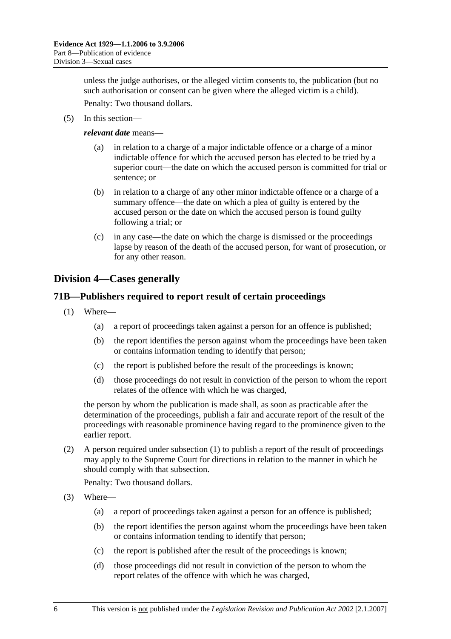unless the judge authorises, or the alleged victim consents to, the publication (but no such authorisation or consent can be given where the alleged victim is a child).

Penalty: Two thousand dollars.

(5) In this section—

*relevant date* means—

- (a) in relation to a charge of a major indictable offence or a charge of a minor indictable offence for which the accused person has elected to be tried by a superior court—the date on which the accused person is committed for trial or sentence; or
- (b) in relation to a charge of any other minor indictable offence or a charge of a summary offence—the date on which a plea of guilty is entered by the accused person or the date on which the accused person is found guilty following a trial; or
- (c) in any case—the date on which the charge is dismissed or the proceedings lapse by reason of the death of the accused person, for want of prosecution, or for any other reason.

## **Division 4—Cases generally**

#### **71B—Publishers required to report result of certain proceedings**

- (1) Where—
	- (a) a report of proceedings taken against a person for an offence is published;
	- (b) the report identifies the person against whom the proceedings have been taken or contains information tending to identify that person;
	- (c) the report is published before the result of the proceedings is known;
	- (d) those proceedings do not result in conviction of the person to whom the report relates of the offence with which he was charged,

the person by whom the publication is made shall, as soon as practicable after the determination of the proceedings, publish a fair and accurate report of the result of the proceedings with reasonable prominence having regard to the prominence given to the earlier report.

 (2) A person required under subsection (1) to publish a report of the result of proceedings may apply to the Supreme Court for directions in relation to the manner in which he should comply with that subsection.

Penalty: Two thousand dollars.

- (3) Where—
	- (a) a report of proceedings taken against a person for an offence is published;
	- (b) the report identifies the person against whom the proceedings have been taken or contains information tending to identify that person;
	- (c) the report is published after the result of the proceedings is known;
	- (d) those proceedings did not result in conviction of the person to whom the report relates of the offence with which he was charged,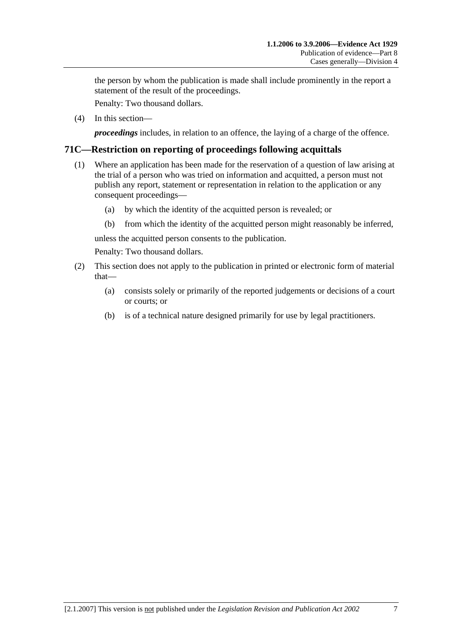the person by whom the publication is made shall include prominently in the report a statement of the result of the proceedings.

Penalty: Two thousand dollars.

(4) In this section—

*proceedings* includes, in relation to an offence, the laying of a charge of the offence.

#### **71C—Restriction on reporting of proceedings following acquittals**

- (1) Where an application has been made for the reservation of a question of law arising at the trial of a person who was tried on information and acquitted, a person must not publish any report, statement or representation in relation to the application or any consequent proceedings—
	- (a) by which the identity of the acquitted person is revealed; or
	- (b) from which the identity of the acquitted person might reasonably be inferred,

unless the acquitted person consents to the publication.

Penalty: Two thousand dollars.

- (2) This section does not apply to the publication in printed or electronic form of material that—
	- (a) consists solely or primarily of the reported judgements or decisions of a court or courts; or
	- (b) is of a technical nature designed primarily for use by legal practitioners.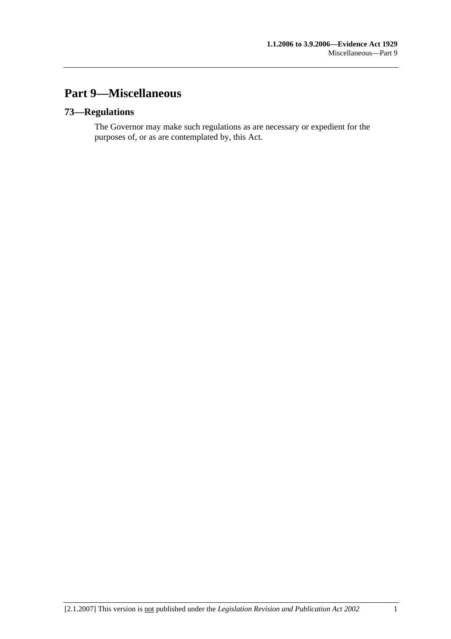# **Part 9—Miscellaneous**

### **73—Regulations**

The Governor may make such regulations as are necessary or expedient for the purposes of, or as are contemplated by, this Act.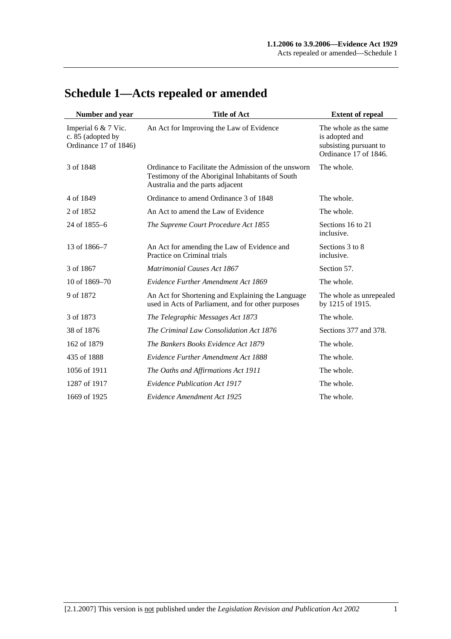| <b>Number and year</b>                                              | <b>Title of Act</b>                                                                                                                          | <b>Extent of repeal</b>                                                                    |
|---------------------------------------------------------------------|----------------------------------------------------------------------------------------------------------------------------------------------|--------------------------------------------------------------------------------------------|
| Imperial $6 & 7$ Vic.<br>c. 85 (adopted by<br>Ordinance 17 of 1846) | An Act for Improving the Law of Evidence                                                                                                     | The whole as the same<br>is adopted and<br>subsisting pursuant to<br>Ordinance 17 of 1846. |
| 3 of 1848                                                           | Ordinance to Facilitate the Admission of the unsworn<br>Testimony of the Aboriginal Inhabitants of South<br>Australia and the parts adjacent | The whole.                                                                                 |
| 4 of 1849                                                           | Ordinance to amend Ordinance 3 of 1848                                                                                                       | The whole.                                                                                 |
| 2 of 1852                                                           | An Act to amend the Law of Evidence                                                                                                          | The whole.                                                                                 |
| 24 of 1855–6                                                        | The Supreme Court Procedure Act 1855                                                                                                         | Sections 16 to 21<br>inclusive.                                                            |
| 13 of 1866–7                                                        | An Act for amending the Law of Evidence and<br>Practice on Criminal trials                                                                   | Sections 3 to 8<br>inclusive.                                                              |
| 3 of 1867                                                           | <b>Matrimonial Causes Act 1867</b>                                                                                                           | Section 57.                                                                                |
| 10 of 1869-70                                                       | Evidence Further Amendment Act 1869                                                                                                          | The whole.                                                                                 |
| 9 of 1872                                                           | An Act for Shortening and Explaining the Language<br>used in Acts of Parliament, and for other purposes                                      | The whole as unrepealed<br>by 1215 of 1915.                                                |
| 3 of 1873                                                           | The Telegraphic Messages Act 1873                                                                                                            | The whole.                                                                                 |
| 38 of 1876                                                          | The Criminal Law Consolidation Act 1876                                                                                                      | Sections 377 and 378.                                                                      |
| 162 of 1879                                                         | The Bankers Books Evidence Act 1879                                                                                                          | The whole.                                                                                 |
| 435 of 1888                                                         | <b>Evidence Further Amendment Act 1888</b>                                                                                                   | The whole.                                                                                 |
| 1056 of 1911                                                        | The Oaths and Affirmations Act 1911                                                                                                          | The whole.                                                                                 |
| 1287 of 1917                                                        | <b>Evidence Publication Act 1917</b>                                                                                                         | The whole.                                                                                 |
| 1669 of 1925                                                        | Evidence Amendment Act 1925                                                                                                                  | The whole.                                                                                 |

# **Schedule 1—Acts repealed or amended**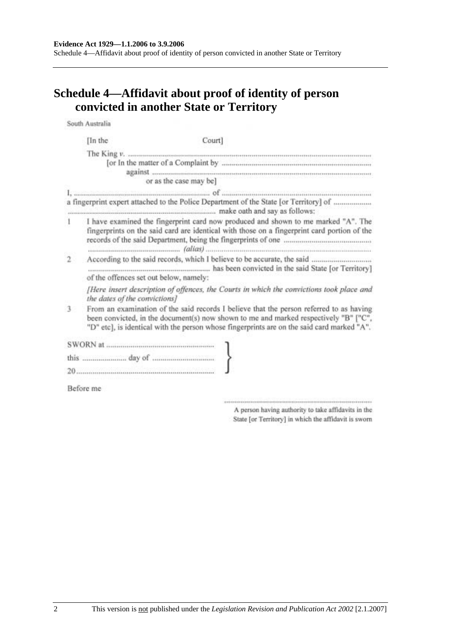## **Schedule 4—Affidavit about proof of identity of person convicted in another State or Territory**

South Australia

|              | [In the                                                                                                                                                                          | Court]                                                                                                                                                                                                                                                                        |  |
|--------------|----------------------------------------------------------------------------------------------------------------------------------------------------------------------------------|-------------------------------------------------------------------------------------------------------------------------------------------------------------------------------------------------------------------------------------------------------------------------------|--|
|              |                                                                                                                                                                                  | or as the case may be]                                                                                                                                                                                                                                                        |  |
|              |                                                                                                                                                                                  |                                                                                                                                                                                                                                                                               |  |
|              |                                                                                                                                                                                  | a fingerprint expert attached to the Police Department of the State [or Territory] of                                                                                                                                                                                         |  |
|              | I have examined the fingerprint card now produced and shown to me marked "A". The<br>fingerprints on the said card are identical with those on a fingerprint card portion of the |                                                                                                                                                                                                                                                                               |  |
| $\mathbf{2}$ |                                                                                                                                                                                  | of the offences set out below, namely:                                                                                                                                                                                                                                        |  |
|              | the dates of the convictions]                                                                                                                                                    | [Here insert description of offences, the Courts in which the convictions took place and                                                                                                                                                                                      |  |
| 3            |                                                                                                                                                                                  | From an examination of the said records I believe that the person referred to as having<br>been convicted, in the document(s) now shown to me and marked respectively "B" ["C",<br>"D" etc], is identical with the person whose fingerprints are on the said card marked "A". |  |
|              |                                                                                                                                                                                  |                                                                                                                                                                                                                                                                               |  |
|              |                                                                                                                                                                                  |                                                                                                                                                                                                                                                                               |  |
|              |                                                                                                                                                                                  |                                                                                                                                                                                                                                                                               |  |
|              | Before me                                                                                                                                                                        |                                                                                                                                                                                                                                                                               |  |

 $\begin{minipage}{0.9\linewidth} \begin{minipage}{0.9\linewidth} \begin{minipage}{0.9\linewidth} \end{minipage} \begin{minipage}{0.9\linewidth} \begin{minipage}{0.9\linewidth} \end{minipage} \begin{minipage}{0.9\linewidth} \end{minipage} \begin{minipage}{0.9\linewidth} \end{minipage} \begin{minipage}{0.9\linewidth} \end{minipage} \begin{minipage}{0.9\linewidth} \end{minipage} \begin{minipage}{0.9\linewidth} \end{minipage} \begin{minipage}{0.9\linewidth} \end{minipage} \begin{minipage}{0.9\linewidth} \end{minipage} \$ A person having authority to take affidavits in the State [or Territory] in which the affidavit is sworn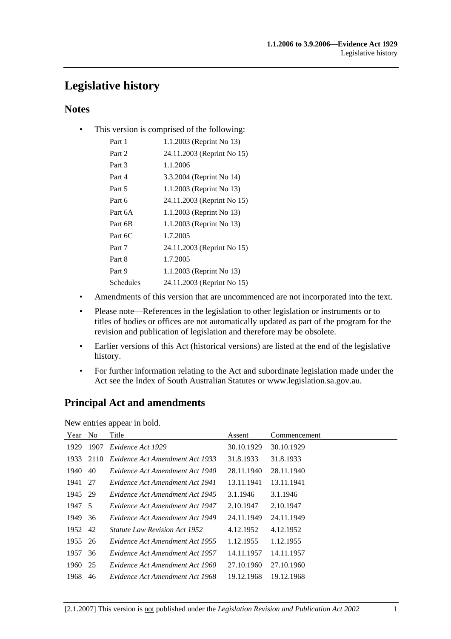# **Legislative history**

## **Notes**

• This version is comprised of the following:

| Part 1    | 1.1.2003 (Reprint No 13)   |
|-----------|----------------------------|
| Part 2    | 24.11.2003 (Reprint No 15) |
| Part 3    | 1.1.2006                   |
| Part 4    | 3.3.2004 (Reprint No 14)   |
| Part 5    | 1.1.2003 (Reprint No 13)   |
| Part 6    | 24.11.2003 (Reprint No 15) |
| Part 6A   | 1.1.2003 (Reprint No 13)   |
| Part 6B   | 1.1.2003 (Reprint No 13)   |
| Part 6C   | 1.7.2005                   |
| Part 7    | 24.11.2003 (Reprint No 15) |
| Part 8    | 1.7.2005                   |
| Part 9    | 1.1.2003 (Reprint No 13)   |
| Schedules | 24.11.2003 (Reprint No 15) |

- Amendments of this version that are uncommenced are not incorporated into the text.
- Please note—References in the legislation to other legislation or instruments or to titles of bodies or offices are not automatically updated as part of the program for the revision and publication of legislation and therefore may be obsolete.
- Earlier versions of this Act (historical versions) are listed at the end of the legislative history.
- For further information relating to the Act and subordinate legislation made under the Act see the Index of South Australian Statutes or www.legislation.sa.gov.au.

## **Principal Act and amendments**

New entries appear in bold.

|      | Title                                                                              | Assent     | Commencement |
|------|------------------------------------------------------------------------------------|------------|--------------|
| 1907 | Evidence Act 1929                                                                  | 30.10.1929 | 30.10.1929   |
| 2110 | Evidence Act Amendment Act 1933                                                    | 31.8.1933  | 31.8.1933    |
| -40  | Evidence Act Amendment Act 1940                                                    | 28.11.1940 | 28.11.1940   |
|      | Evidence Act Amendment Act 1941                                                    | 13.11.1941 | 13.11.1941   |
|      | Evidence Act Amendment Act 1945                                                    | 3.1.1946   | 3.1.1946     |
|      | Evidence Act Amendment Act 1947                                                    | 2.10.1947  | 2.10.1947    |
| 36   | Evidence Act Amendment Act 1949                                                    | 24.11.1949 | 24.11.1949   |
|      | <i>Statute Law Revision Act 1952</i>                                               | 4.12.1952  | 4.12.1952    |
| 26   | Evidence Act Amendment Act 1955                                                    | 1.12.1955  | 1.12.1955    |
| 36   | Evidence Act Amendment Act 1957                                                    | 14.11.1957 | 14.11.1957   |
| 25   | Evidence Act Amendment Act 1960                                                    | 27.10.1960 | 27.10.1960   |
| 46   | Evidence Act Amendment Act 1968                                                    | 19.12.1968 | 19.12.1968   |
|      | Year No<br>1940<br>1941 27<br>1945 29<br>1947 5<br>1949<br>1952 42<br>1955<br>1960 |            |              |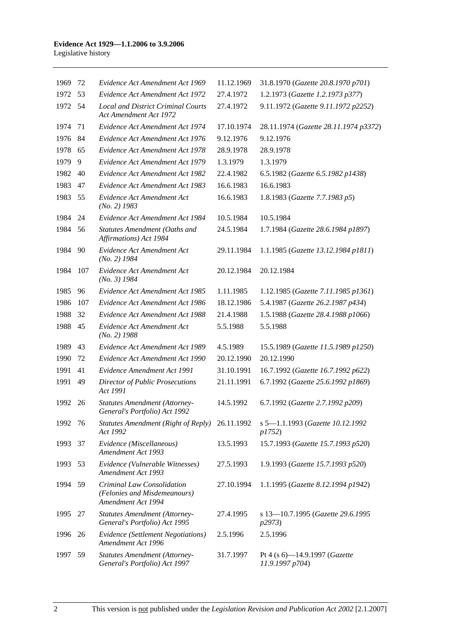| 1969 | 72  | Evidence Act Amendment Act 1969                                                  | 11.12.1969 | 31.8.1970 (Gazette 20.8.1970 p701)               |
|------|-----|----------------------------------------------------------------------------------|------------|--------------------------------------------------|
| 1972 | 53  | Evidence Act Amendment Act 1972                                                  | 27.4.1972  | 1.2.1973 (Gazette 1.2.1973 p377)                 |
| 1972 | 54  | <b>Local and District Criminal Courts</b><br><b>Act Amendment Act 1972</b>       | 27.4.1972  | 9.11.1972 (Gazette 9.11.1972 p2252)              |
| 1974 | 71  | Evidence Act Amendment Act 1974                                                  | 17.10.1974 | 28.11.1974 (Gazette 28.11.1974 p3372)            |
| 1976 | 84  | Evidence Act Amendment Act 1976                                                  | 9.12.1976  | 9.12.1976                                        |
| 1978 | 65  | Evidence Act Amendment Act 1978                                                  | 28.9.1978  | 28.9.1978                                        |
| 1979 | 9   | Evidence Act Amendment Act 1979                                                  | 1.3.1979   | 1.3.1979                                         |
| 1982 | 40  | Evidence Act Amendment Act 1982                                                  | 22.4.1982  | 6.5.1982 (Gazette 6.5.1982 p1438)                |
| 1983 | 47  | Evidence Act Amendment Act 1983                                                  | 16.6.1983  | 16.6.1983                                        |
| 1983 | 55  | Evidence Act Amendment Act<br>$(No. 2)$ 1983                                     | 16.6.1983  | 1.8.1983 (Gazette 7.7.1983 p5)                   |
| 1984 | 24  | Evidence Act Amendment Act 1984                                                  | 10.5.1984  | 10.5.1984                                        |
| 1984 | 56  | Statutes Amendment (Oaths and<br>Affirmations) Act 1984                          | 24.5.1984  | 1.7.1984 (Gazette 28.6.1984 p1897)               |
| 1984 | 90  | Evidence Act Amendment Act<br>$(No. 2)$ 1984                                     | 29.11.1984 | 1.1.1985 (Gazette 13.12.1984 p1811)              |
| 1984 | 107 | Evidence Act Amendment Act<br>$(No. 3)$ 1984                                     | 20.12.1984 | 20.12.1984                                       |
| 1985 | 96  | Evidence Act Amendment Act 1985                                                  | 1.11.1985  | 1.12.1985 (Gazette 7.11.1985 p1361)              |
| 1986 | 107 | Evidence Act Amendment Act 1986                                                  | 18.12.1986 | 5.4.1987 (Gazette 26.2.1987 p434)                |
| 1988 | 32  | Evidence Act Amendment Act 1988                                                  | 21.4.1988  | 1.5.1988 (Gazette 28.4.1988 p1066)               |
| 1988 | 45  | Evidence Act Amendment Act<br>$(No. 2)$ 1988                                     | 5.5.1988   | 5.5.1988                                         |
| 1989 | 43  | Evidence Act Amendment Act 1989                                                  | 4.5.1989   | 15.5.1989 (Gazette 11.5.1989 p1250)              |
| 1990 | 72  | Evidence Act Amendment Act 1990                                                  | 20.12.1990 | 20.12.1990                                       |
| 1991 | 41  | Evidence Amendment Act 1991                                                      | 31.10.1991 | 16.7.1992 (Gazette 16.7.1992 p622)               |
| 1991 | 49  | <b>Director of Public Prosecutions</b><br>Act 1991                               | 21.11.1991 | 6.7.1992 (Gazette 25.6.1992 p1869)               |
| 1992 | 26  | <b>Statutes Amendment (Attorney-</b><br>General's Portfolio) Act 1992            | 14.5.1992  | 6.7.1992 (Gazette 2.7.1992 p209)                 |
| 1992 | 76  | <b>Statutes Amendment (Right of Reply)</b><br>Act 1992                           | 26.11.1992 | s 5-1.1.1993 (Gazette 10.12.1992<br>p1752)       |
| 1993 | 37  | Evidence (Miscellaneous)<br>Amendment Act 1993                                   | 13.5.1993  | 15.7.1993 (Gazette 15.7.1993 p520)               |
| 1993 | 53  | Evidence (Vulnerable Witnesses)<br>Amendment Act 1993                            | 27.5.1993  | 1.9.1993 (Gazette 15.7.1993 p520)                |
| 1994 | 59  | Criminal Law Consolidation<br>(Felonies and Misdemeanours)<br>Amendment Act 1994 | 27.10.1994 | 1.1.1995 (Gazette 8.12.1994 p1942)               |
| 1995 | 27  | <b>Statutes Amendment (Attorney-</b><br>General's Portfolio) Act 1995            | 27.4.1995  | s 13-10.7.1995 (Gazette 29.6.1995<br>p2973)      |
| 1996 | 26  | Evidence (Settlement Negotiations)<br>Amendment Act 1996                         | 2.5.1996   | 2.5.1996                                         |
| 1997 | 59  | <b>Statutes Amendment (Attorney-</b><br>General's Portfolio) Act 1997            | 31.7.1997  | Pt 4 (s 6)-14.9.1997 (Gazette<br>11.9.1997 p704) |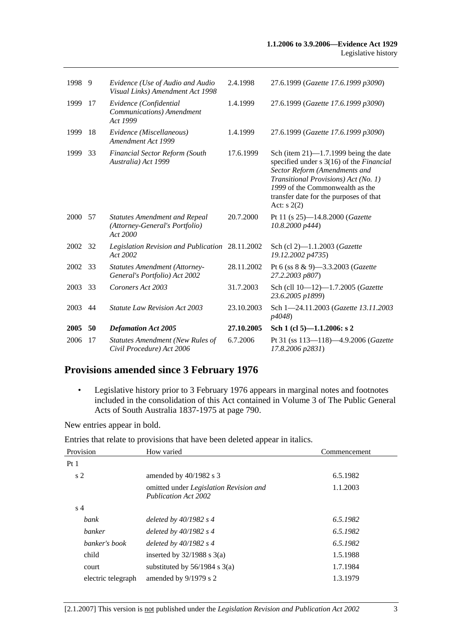| 1998 | 9  | Evidence (Use of Audio and Audio<br>Visual Links) Amendment Act 1998               | 2.4.1998   | 27.6.1999 (Gazette 17.6.1999 p3090)                                                                                                                                                                                                                       |
|------|----|------------------------------------------------------------------------------------|------------|-----------------------------------------------------------------------------------------------------------------------------------------------------------------------------------------------------------------------------------------------------------|
| 1999 | 17 | Evidence (Confidential<br>Communications) Amendment<br>Act 1999                    | 1.4.1999   | 27.6.1999 (Gazette 17.6.1999 p3090)                                                                                                                                                                                                                       |
| 1999 | 18 | Evidence (Miscellaneous)<br>Amendment Act 1999                                     | 1.4.1999   | 27.6.1999 (Gazette 17.6.1999 p3090)                                                                                                                                                                                                                       |
| 1999 | 33 | <b>Financial Sector Reform (South</b><br>Australia) Act 1999                       | 17.6.1999  | Sch (item $21$ )—1.7.1999 being the date<br>specified under s 3(16) of the Financial<br>Sector Reform (Amendments and<br>Transitional Provisions) Act (No. 1)<br>1999 of the Commonwealth as the<br>transfer date for the purposes of that<br>Act: $s(2)$ |
| 2000 | 57 | <b>Statutes Amendment and Repeal</b><br>(Attorney-General's Portfolio)<br>Act 2000 | 20.7.2000  | Pt 11 (s 25)-14.8.2000 (Gazette<br>10.8.2000 p444)                                                                                                                                                                                                        |
| 2002 | 32 | Legislation Revision and Publication 28.11.2002<br>Act 2002                        |            | Sch (cl 2)-1.1.2003 (Gazette<br>19.12.2002 p4735)                                                                                                                                                                                                         |
| 2002 | 33 | <b>Statutes Amendment (Attorney-</b><br>General's Portfolio) Act 2002              | 28.11.2002 | Pt 6 (ss 8 & 9)-3.3.2003 (Gazette<br>27.2.2003 p807)                                                                                                                                                                                                      |
| 2003 | 33 | Coroners Act 2003                                                                  | 31.7.2003  | Sch (cll 10-12)-1.7.2005 (Gazette<br>23.6.2005 p1899)                                                                                                                                                                                                     |
| 2003 | 44 | <b>Statute Law Revision Act 2003</b>                                               | 23.10.2003 | Sch 1-24.11.2003 (Gazette 13.11.2003<br>p4048)                                                                                                                                                                                                            |
| 2005 | 50 | <b>Defamation Act 2005</b>                                                         | 27.10.2005 | Sch 1 (cl 5)-1.1.2006: s 2                                                                                                                                                                                                                                |
| 2006 | 17 | <b>Statutes Amendment (New Rules of</b><br>Civil Procedure) Act 2006               | 6.7.2006   | Pt 31 (ss 113-118)-4.9.2006 (Gazette<br>17.8.2006 p2831)                                                                                                                                                                                                  |

## **Provisions amended since 3 February 1976**

 • Legislative history prior to 3 February 1976 appears in marginal notes and footnotes included in the consolidation of this Act contained in Volume 3 of The Public General Acts of South Australia 1837-1975 at page 790.

New entries appear in bold.

Entries that relate to provisions that have been deleted appear in italics.

| Provision          | How varied                                                                   | Commencement |
|--------------------|------------------------------------------------------------------------------|--------------|
| Pt <sub>1</sub>    |                                                                              |              |
| s <sub>2</sub>     | amended by $40/1982$ s 3                                                     | 6.5.1982     |
|                    | omitted under <i>Legislation Revision and</i><br><b>Publication Act 2002</b> | 1.1.2003     |
| s <sub>4</sub>     |                                                                              |              |
| bank               | deleted by $40/1982$ s 4                                                     | 6.5.1982     |
| banker             | deleted by $40/1982$ s 4                                                     | 6.5.1982     |
| banker's book      | deleted by $40/1982$ s 4                                                     | 6.5.1982     |
| child              | inserted by $32/1988$ s $3(a)$                                               | 1.5.1988     |
| court              | substituted by $56/1984$ s $3(a)$                                            | 1.7.1984     |
| electric telegraph | amended by $9/1979$ s 2                                                      | 1.3.1979     |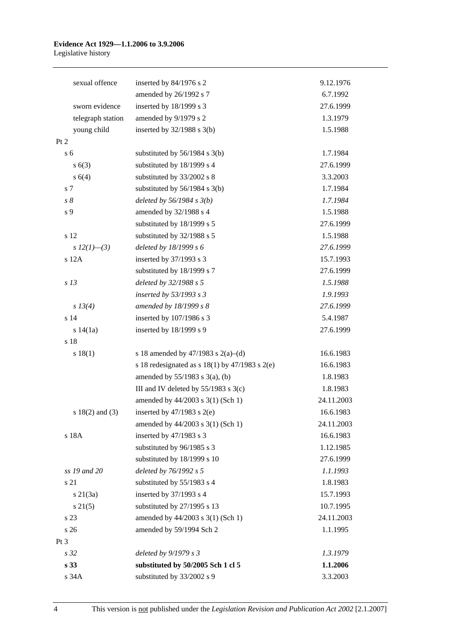#### **Evidence Act 1929—1.1.2006 to 3.9.2006**  Legislative history

| sexual offence      | inserted by 84/1976 s 2                              | 9.12.1976  |
|---------------------|------------------------------------------------------|------------|
|                     | amended by 26/1992 s 7                               | 6.7.1992   |
| sworn evidence      | inserted by 18/1999 s 3                              | 27.6.1999  |
| telegraph station   | amended by 9/1979 s 2                                | 1.3.1979   |
| young child         | inserted by $32/1988$ s $3(b)$                       | 1.5.1988   |
| Pt 2                |                                                      |            |
| s <sub>6</sub>      | substituted by $56/1984$ s $3(b)$                    | 1.7.1984   |
| s(6(3))             | substituted by 18/1999 s 4                           | 27.6.1999  |
| s(4)                | substituted by 33/2002 s 8                           | 3.3.2003   |
| s 7                 | substituted by $56/1984$ s $3(b)$                    | 1.7.1984   |
| $s\,\delta$         | deleted by $56/1984 s 3(b)$                          | 1.7.1984   |
| s 9                 | amended by 32/1988 s 4                               | 1.5.1988   |
|                     | substituted by 18/1999 s 5                           | 27.6.1999  |
| s 12                | substituted by 32/1988 s 5                           | 1.5.1988   |
| s $12(1)$ —(3)      | deleted by 18/1999 s 6                               | 27.6.1999  |
| s 12A               | inserted by 37/1993 s 3                              | 15.7.1993  |
|                     | substituted by 18/1999 s 7                           | 27.6.1999  |
| s <sub>13</sub>     | deleted by 32/1988 s 5                               | 1.5.1988   |
|                     | inserted by $53/1993$ s 3                            | 1.9.1993   |
| s 13(4)             | amended by 18/1999 s 8                               | 27.6.1999  |
| s 14                | inserted by 107/1986 s 3                             | 5.4.1987   |
| s 14(1a)            | inserted by 18/1999 s 9                              | 27.6.1999  |
| s 18                |                                                      |            |
| s 18(1)             | s 18 amended by 47/1983 s 2(a)–(d)                   | 16.6.1983  |
|                     | s 18 redesignated as s $18(1)$ by $47/1983$ s $2(e)$ | 16.6.1983  |
|                     | amended by $55/1983$ s 3(a), (b)                     | 1.8.1983   |
|                     | III and IV deleted by $55/1983$ s $3(c)$             | 1.8.1983   |
|                     | amended by 44/2003 s 3(1) (Sch 1)                    | 24.11.2003 |
| s $18(2)$ and $(3)$ | inserted by $47/1983$ s $2(e)$                       | 16.6.1983  |
|                     | amended by 44/2003 s 3(1) (Sch 1)                    | 24.11.2003 |
| s 18A               | inserted by 47/1983 s 3                              | 16.6.1983  |
|                     | substituted by 96/1985 s 3                           | 1.12.1985  |
|                     | substituted by 18/1999 s 10                          | 27.6.1999  |
| ss 19 and 20        | deleted by 76/1992 s 5                               | 1.1.1993   |
| s 21                | substituted by 55/1983 s 4                           | 1.8.1983   |
| s21(3a)             | inserted by 37/1993 s 4                              | 15.7.1993  |
| $s \, 21(5)$        | substituted by 27/1995 s 13                          | 10.7.1995  |
| s 23                | amended by 44/2003 s 3(1) (Sch 1)                    | 24.11.2003 |
| s 26                | amended by 59/1994 Sch 2                             | 1.1.1995   |
| Pt 3                |                                                      |            |
| s 32                | deleted by 9/1979 s 3                                | 1.3.1979   |
| s 33                | substituted by 50/2005 Sch 1 cl 5                    | 1.1.2006   |
| s 34A               | substituted by 33/2002 s 9                           | 3.3.2003   |
|                     |                                                      |            |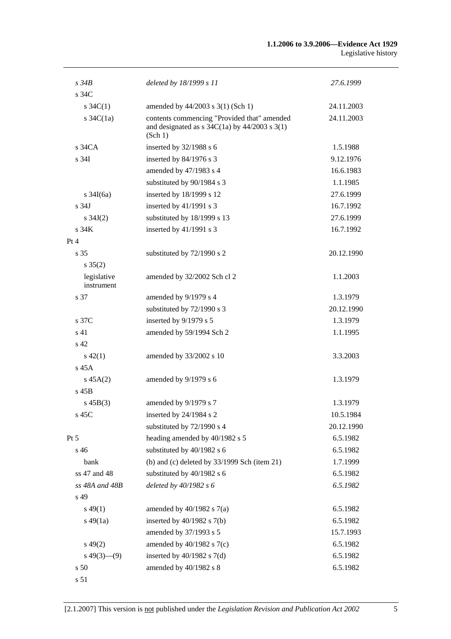| $s\,34B$                  | deleted by 18/1999 s 11                                                                                                                       | 27.6.1999  |
|---------------------------|-----------------------------------------------------------------------------------------------------------------------------------------------|------------|
| s 34C                     |                                                                                                                                               |            |
| $s \, 34C(1)$             | amended by 44/2003 s 3(1) (Sch 1)                                                                                                             | 24.11.2003 |
| s $34C(1a)$               | contents commencing "Provided that" amended<br>and designated as $s \frac{34C(1a)}{y}$ by $\frac{44}{2003} \frac{s \cdot 3(1)}{y}$<br>(Sch 1) | 24.11.2003 |
| $s\,34CA$                 | inserted by $32/1988$ s 6                                                                                                                     | 1.5.1988   |
| s <sub>34I</sub>          | inserted by 84/1976 s 3                                                                                                                       | 9.12.1976  |
|                           | amended by 47/1983 s 4                                                                                                                        | 16.6.1983  |
|                           | substituted by 90/1984 s 3                                                                                                                    | 1.1.1985   |
| s $34I(6a)$               | inserted by 18/1999 s 12                                                                                                                      | 27.6.1999  |
| s 34J                     | inserted by 41/1991 s 3                                                                                                                       | 16.7.1992  |
| s $34J(2)$                | substituted by 18/1999 s 13                                                                                                                   | 27.6.1999  |
| s <sub>34K</sub>          | inserted by $41/1991$ s 3                                                                                                                     | 16.7.1992  |
| Pt 4                      |                                                                                                                                               |            |
| s <sub>35</sub>           | substituted by 72/1990 s 2                                                                                                                    | 20.12.1990 |
| $s \, 35(2)$              |                                                                                                                                               |            |
| legislative<br>instrument | amended by 32/2002 Sch cl 2                                                                                                                   | 1.1.2003   |
| s 37                      | amended by 9/1979 s 4                                                                                                                         | 1.3.1979   |
|                           | substituted by 72/1990 s 3                                                                                                                    | 20.12.1990 |
| s 37C                     | inserted by 9/1979 s 5                                                                                                                        | 1.3.1979   |
| s 41                      | amended by 59/1994 Sch 2                                                                                                                      | 1.1.1995   |
| s 42                      |                                                                                                                                               |            |
| $s\,42(1)$                | amended by 33/2002 s 10                                                                                                                       | 3.3.2003   |
| $s$ 45A                   |                                                                                                                                               |            |
| $s\,45A(2)$               | amended by 9/1979 s 6                                                                                                                         | 1.3.1979   |
| $s$ 45B                   |                                                                                                                                               |            |
| $s\,45B(3)$               | amended by 9/1979 s 7                                                                                                                         | 1.3.1979   |
| s 45C                     | inserted by 24/1984 s 2                                                                                                                       | 10.5.1984  |
|                           | substituted by 72/1990 s 4                                                                                                                    | 20.12.1990 |
| Pt 5                      | heading amended by 40/1982 s 5                                                                                                                | 6.5.1982   |
| s 46                      | substituted by 40/1982 s 6                                                                                                                    | 6.5.1982   |
| bank                      | (b) and (c) deleted by $33/1999$ Sch (item 21)                                                                                                | 1.7.1999   |
| ss 47 and 48              | substituted by 40/1982 s 6                                                                                                                    | 6.5.1982   |
| ss 48A and 48B            | deleted by 40/1982 s 6                                                                                                                        | 6.5.1982   |
| s 49                      |                                                                                                                                               |            |
| $s\,49(1)$                | amended by $40/1982$ s $7(a)$                                                                                                                 | 6.5.1982   |
| $s\,49(1a)$               | inserted by $40/1982$ s $7(b)$                                                                                                                | 6.5.1982   |
|                           | amended by 37/1993 s 5                                                                                                                        | 15.7.1993  |
| $s\,49(2)$                | amended by $40/1982$ s $7(c)$                                                                                                                 | 6.5.1982   |
| $s\,49(3)$ —(9)           | inserted by $40/1982$ s $7(d)$                                                                                                                | 6.5.1982   |
| s <sub>50</sub>           | amended by 40/1982 s 8                                                                                                                        | 6.5.1982   |
| s 51                      |                                                                                                                                               |            |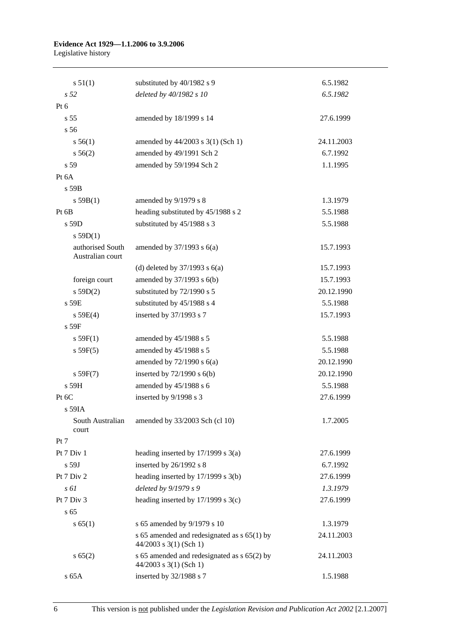#### **Evidence Act 1929—1.1.2006 to 3.9.2006**  Legislative history

| s 51(1)                              | substituted by 40/1982 s 9                                              | 6.5.1982   |
|--------------------------------------|-------------------------------------------------------------------------|------------|
| s <sub>52</sub>                      | deleted by 40/1982 s 10                                                 | 6.5.1982   |
| Pt $6$                               |                                                                         |            |
| s <sub>55</sub>                      | amended by 18/1999 s 14                                                 | 27.6.1999  |
| s 56                                 |                                                                         |            |
| s 56(1)                              | amended by 44/2003 s 3(1) (Sch 1)                                       | 24.11.2003 |
| s 56(2)                              | amended by 49/1991 Sch 2                                                | 6.7.1992   |
| s 59                                 | amended by 59/1994 Sch 2                                                | 1.1.1995   |
| Pt 6A                                |                                                                         |            |
| s 59B                                |                                                                         |            |
| s 59B(1)                             | amended by 9/1979 s 8                                                   | 1.3.1979   |
| Pt 6B                                | heading substituted by 45/1988 s 2                                      | 5.5.1988   |
| $s$ 59D                              | substituted by 45/1988 s 3                                              | 5.5.1988   |
| $s$ 59D(1)                           |                                                                         |            |
| authorised South<br>Australian court | amended by $37/1993$ s $6(a)$                                           | 15.7.1993  |
|                                      | (d) deleted by $37/1993$ s $6(a)$                                       | 15.7.1993  |
| foreign court                        | amended by 37/1993 s 6(b)                                               | 15.7.1993  |
| s 59D(2)                             | substituted by 72/1990 s 5                                              | 20.12.1990 |
| s 59E                                | substituted by 45/1988 s 4                                              | 5.5.1988   |
| s 59E(4)                             | inserted by 37/1993 s 7                                                 | 15.7.1993  |
| s 59F                                |                                                                         |            |
| s 59F(1)                             | amended by 45/1988 s 5                                                  | 5.5.1988   |
| s 59F(5)                             | amended by 45/1988 s 5                                                  | 5.5.1988   |
|                                      | amended by $72/1990$ s $6(a)$                                           | 20.12.1990 |
| s 59F(7)                             | inserted by $72/1990$ s $6(b)$                                          | 20.12.1990 |
| s 59H                                | amended by 45/1988 s 6                                                  | 5.5.1988   |
| Pt 6C                                | inserted by 9/1998 s 3                                                  | 27.6.1999  |
| $s$ 59IA                             |                                                                         |            |
| South Australian<br>court            | amended by 33/2003 Sch (cl 10)                                          | 1.7.2005   |
| Pt 7                                 |                                                                         |            |
| Pt 7 Div 1                           | heading inserted by $17/1999$ s $3(a)$                                  | 27.6.1999  |
| $s$ 59J                              | inserted by 26/1992 s 8                                                 | 6.7.1992   |
| Pt 7 Div 2                           | heading inserted by $17/1999$ s $3(b)$                                  | 27.6.1999  |
| s 61                                 | deleted by $9/1979 s 9$                                                 | 1.3.1979   |
| Pt 7 Div 3                           | heading inserted by $17/1999$ s $3(c)$                                  | 27.6.1999  |
| s <sub>65</sub>                      |                                                                         |            |
| s 65(1)                              | s 65 amended by 9/1979 s 10                                             | 1.3.1979   |
|                                      | s 65 amended and redesignated as $s$ 65(1) by<br>44/2003 s 3(1) (Sch 1) | 24.11.2003 |
| s 65(2)                              | s 65 amended and redesignated as s 65(2) by<br>$44/2003$ s 3(1) (Sch 1) | 24.11.2003 |
| s 65A                                | inserted by 32/1988 s 7                                                 | 1.5.1988   |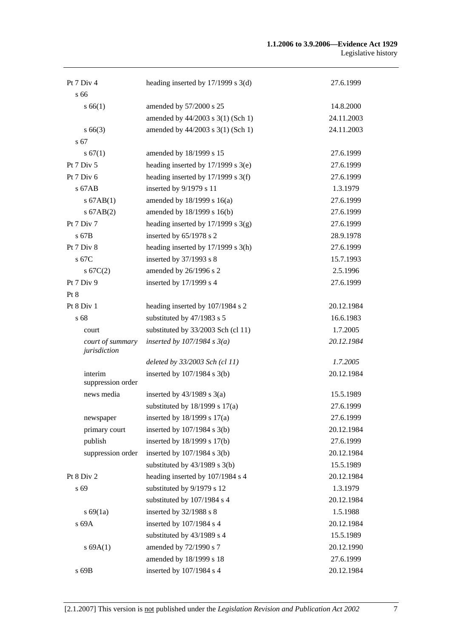#### **1.1.2006 to 3.9.2006—Evidence Act 1929**  Legislative history

| Pt 7 Div 4                       | heading inserted by $17/1999$ s $3(d)$ | 27.6.1999  |
|----------------------------------|----------------------------------------|------------|
| s 66                             |                                        |            |
| s 66(1)                          | amended by 57/2000 s 25                | 14.8.2000  |
|                                  | amended by 44/2003 s 3(1) (Sch 1)      | 24.11.2003 |
| $s\,66(3)$                       | amended by 44/2003 s 3(1) (Sch 1)      | 24.11.2003 |
| s 67                             |                                        |            |
| s 67(1)                          | amended by 18/1999 s 15                | 27.6.1999  |
| Pt 7 Div 5                       | heading inserted by $17/1999$ s $3(e)$ | 27.6.1999  |
| Pt $7$ Div $6$                   | heading inserted by 17/1999 s 3(f)     | 27.6.1999  |
| $\sqrt{67AB}$                    | inserted by 9/1979 s 11                | 1.3.1979   |
| $s$ 67AB $(1)$                   | amended by 18/1999 s 16(a)             | 27.6.1999  |
| $s$ 67AB $(2)$                   | amended by 18/1999 s 16(b)             | 27.6.1999  |
| Pt 7 Div 7                       | heading inserted by $17/1999$ s $3(g)$ | 27.6.1999  |
| s 67B                            | inserted by 65/1978 s 2                | 28.9.1978  |
| Pt 7 Div 8                       | heading inserted by $17/1999$ s $3(h)$ | 27.6.1999  |
| s 67C                            | inserted by 37/1993 s 8                | 15.7.1993  |
| s 67C(2)                         | amended by 26/1996 s 2                 | 2.5.1996   |
| Pt 7 Div 9                       | inserted by 17/1999 s 4                | 27.6.1999  |
| Pt 8                             |                                        |            |
| Pt 8 Div 1                       | heading inserted by 107/1984 s 2       | 20.12.1984 |
| s 68                             | substituted by 47/1983 s 5             | 16.6.1983  |
| court                            | substituted by 33/2003 Sch (cl 11)     | 1.7.2005   |
| court of summary<br>jurisdiction | inserted by $107/1984$ s $3(a)$        | 20.12.1984 |
|                                  | deleted by 33/2003 Sch (cl 11)         | 1.7.2005   |
| interim                          | inserted by $107/1984$ s $3(b)$        | 20.12.1984 |
| suppression order                |                                        |            |
| news media                       | inserted by $43/1989$ s $3(a)$         | 15.5.1989  |
|                                  | substituted by $18/1999$ s $17(a)$     | 27.6.1999  |
| newspaper                        | inserted by 18/1999 s 17(a)            | 27.6.1999  |
| primary court                    | inserted by $107/1984$ s $3(b)$        | 20.12.1984 |
| publish                          | inserted by 18/1999 s 17(b)            | 27.6.1999  |
| suppression order                | inserted by $107/1984$ s $3(b)$        | 20.12.1984 |
|                                  | substituted by 43/1989 s 3(b)          | 15.5.1989  |
| Pt 8 Div 2                       | heading inserted by 107/1984 s 4       | 20.12.1984 |
| s 69                             | substituted by 9/1979 s 12             | 1.3.1979   |
|                                  | substituted by 107/1984 s 4            | 20.12.1984 |
| s 69(1a)                         | inserted by 32/1988 s 8                | 1.5.1988   |
| s 69A                            | inserted by 107/1984 s 4               | 20.12.1984 |
|                                  | substituted by 43/1989 s 4             | 15.5.1989  |
| s 69A(1)                         | amended by 72/1990 s 7                 | 20.12.1990 |
|                                  | amended by 18/1999 s 18                | 27.6.1999  |
| s 69B                            | inserted by 107/1984 s 4               | 20.12.1984 |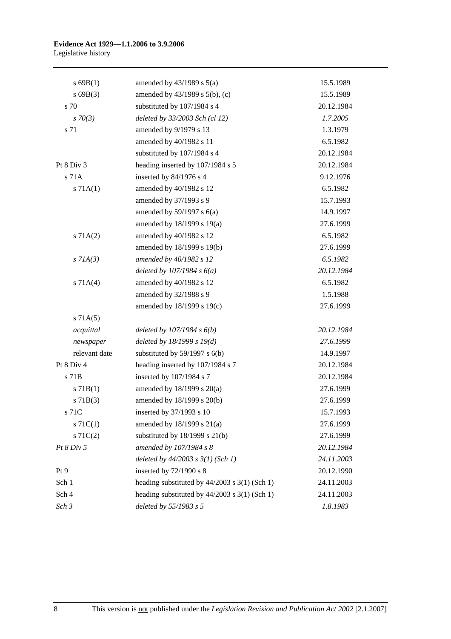#### **Evidence Act 1929—1.1.2006 to 3.9.2006**  Legislative history

| s69B(1)       | amended by $43/1989$ s $5(a)$                   | 15.5.1989  |
|---------------|-------------------------------------------------|------------|
| s69B(3)       | amended by 43/1989 s 5(b), (c)                  | 15.5.1989  |
| s 70          | substituted by 107/1984 s 4                     | 20.12.1984 |
| $s \, 70(3)$  | deleted by 33/2003 Sch (cl 12)                  | 1.7.2005   |
| s 71          | amended by 9/1979 s 13                          | 1.3.1979   |
|               | amended by 40/1982 s 11                         | 6.5.1982   |
|               | substituted by 107/1984 s 4                     | 20.12.1984 |
| Pt 8 Div 3    | heading inserted by 107/1984 s 5                | 20.12.1984 |
| s 71A         | inserted by 84/1976 s 4                         | 9.12.1976  |
| s 71A(1)      | amended by 40/1982 s 12                         | 6.5.1982   |
|               | amended by 37/1993 s 9                          | 15.7.1993  |
|               | amended by $59/1997$ s $6(a)$                   | 14.9.1997  |
|               | amended by 18/1999 s 19(a)                      | 27.6.1999  |
| s 71A(2)      | amended by 40/1982 s 12                         | 6.5.1982   |
|               | amended by 18/1999 s 19(b)                      | 27.6.1999  |
| $s$ 71A(3)    | amended by 40/1982 s 12                         | 6.5.1982   |
|               | deleted by $107/1984 s 6(a)$                    | 20.12.1984 |
| s 71A(4)      | amended by 40/1982 s 12                         | 6.5.1982   |
|               | amended by 32/1988 s 9                          | 1.5.1988   |
|               | amended by 18/1999 s 19(c)                      | 27.6.1999  |
| s 71A(5)      |                                                 |            |
| acquittal     | deleted by $107/1984 s 6(b)$                    | 20.12.1984 |
| newspaper     | deleted by $18/1999 s 19(d)$                    | 27.6.1999  |
| relevant date | substituted by $59/1997$ s $6(b)$               | 14.9.1997  |
| Pt 8 Div 4    | heading inserted by 107/1984 s 7                | 20.12.1984 |
| s 71B         | inserted by 107/1984 s 7                        | 20.12.1984 |
| s 71B(1)      | amended by $18/1999$ s $20(a)$                  | 27.6.1999  |
| $s$ 71B(3)    | amended by 18/1999 s 20(b)                      | 27.6.1999  |
| s 71C         | inserted by 37/1993 s 10                        | 15.7.1993  |
| $s \, 71C(1)$ | amended by $18/1999$ s $21(a)$                  | 27.6.1999  |
| $s \, 71C(2)$ | substituted by $18/1999$ s $21(b)$              | 27.6.1999  |
| Pt 8 Div 5    | amended by 107/1984 s 8                         | 20.12.1984 |
|               | deleted by $44/2003$ s $3(1)$ (Sch 1)           | 24.11.2003 |
| Pt 9          | inserted by 72/1990 s 8                         | 20.12.1990 |
| Sch 1         | heading substituted by $44/2003$ s 3(1) (Sch 1) | 24.11.2003 |
| Sch 4         | heading substituted by $44/2003$ s 3(1) (Sch 1) | 24.11.2003 |
| Sch 3         | deleted by 55/1983 s 5                          | 1.8.1983   |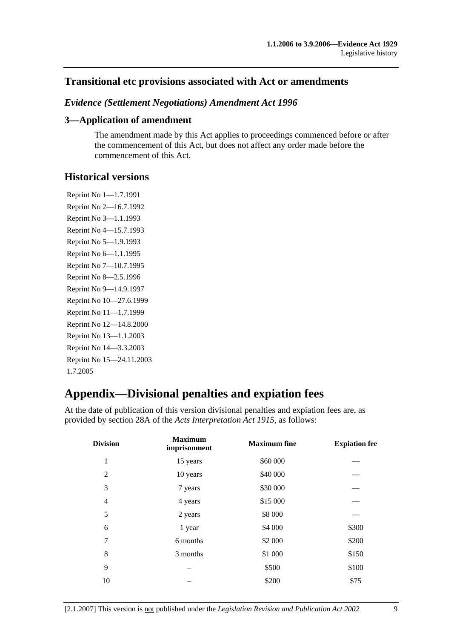## **Transitional etc provisions associated with Act or amendments**

### *Evidence (Settlement Negotiations) Amendment Act 1996*

### **3—Application of amendment**

The amendment made by this Act applies to proceedings commenced before or after the commencement of this Act, but does not affect any order made before the commencement of this Act.

## **Historical versions**

Reprint No 1—1.7.1991 Reprint No 2—16.7.1992 Reprint No 3—1.1.1993 Reprint No 4—15.7.1993 Reprint No 5—1.9.1993 Reprint No 6—1.1.1995 Reprint No 7—10.7.1995 Reprint No 8—2.5.1996 Reprint No 9—14.9.1997 Reprint No 10—27.6.1999 Reprint No 11—1.7.1999 Reprint No 12—14.8.2000 Reprint No 13—1.1.2003 Reprint No 14—3.3.2003 Reprint No 15—24.11.2003 1.7.2005

# **Appendix—Divisional penalties and expiation fees**

At the date of publication of this version divisional penalties and expiation fees are, as provided by section 28A of the *Acts Interpretation Act 1915*, as follows:

| <b>Division</b> | <b>Maximum</b><br>imprisonment | <b>Maximum</b> fine | <b>Expiation fee</b> |
|-----------------|--------------------------------|---------------------|----------------------|
| 1               | 15 years                       | \$60 000            |                      |
| $\overline{2}$  | 10 years                       | \$40 000            |                      |
| 3               | 7 years                        | \$30 000            |                      |
| $\overline{4}$  | 4 years                        | \$15 000            |                      |
| 5               | 2 years                        | \$8 000             |                      |
| 6               | 1 year                         | \$4 000             | \$300                |
| 7               | 6 months                       | \$2 000             | \$200                |
| 8               | 3 months                       | \$1 000             | \$150                |
| 9               |                                | \$500               | \$100                |
| 10              |                                | \$200               | \$75                 |